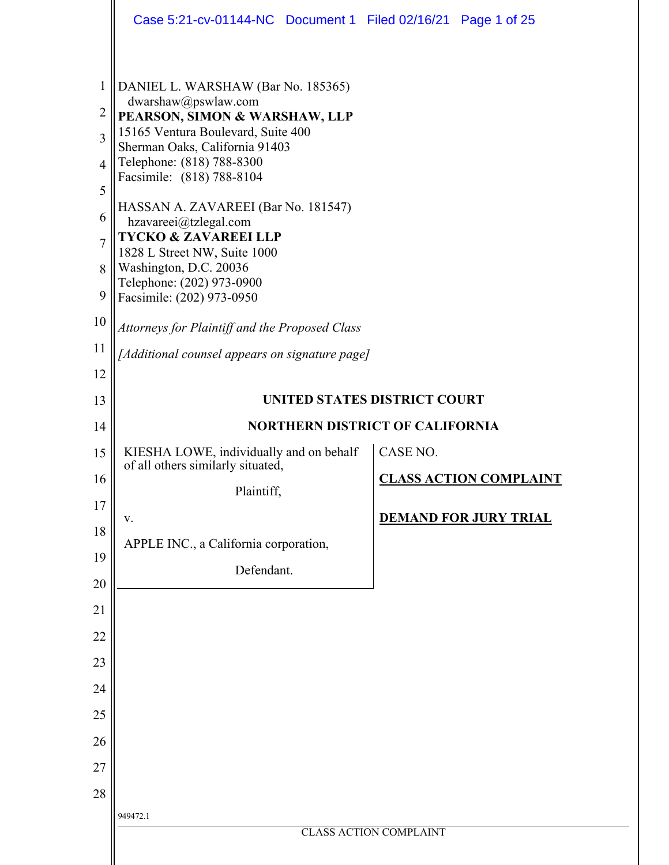|                     | Case 5:21-cv-01144-NC  Document 1  Filed 02/16/21  Page 1 of 25              |          |                               |  |  |  |
|---------------------|------------------------------------------------------------------------------|----------|-------------------------------|--|--|--|
|                     |                                                                              |          |                               |  |  |  |
| $\mathbf{1}$        | DANIEL L. WARSHAW (Bar No. 185365)<br>dwarshaw@pswlaw.com                    |          |                               |  |  |  |
| $\overline{2}$<br>3 | PEARSON, SIMON & WARSHAW, LLP<br>15165 Ventura Boulevard, Suite 400          |          |                               |  |  |  |
| $\overline{4}$      | Sherman Oaks, California 91403<br>Telephone: (818) 788-8300                  |          |                               |  |  |  |
| 5                   | Facsimile: (818) 788-8104                                                    |          |                               |  |  |  |
| 6                   | HASSAN A. ZAVAREEI (Bar No. 181547)<br>hzavareei@tzlegal.com                 |          |                               |  |  |  |
| $\overline{7}$      | <b>TYCKO &amp; ZAVAREEI LLP</b><br>1828 L Street NW, Suite 1000              |          |                               |  |  |  |
| 8                   | Washington, D.C. 20036<br>Telephone: (202) 973-0900                          |          |                               |  |  |  |
| 9                   | Facsimile: (202) 973-0950                                                    |          |                               |  |  |  |
| 10<br>11            | Attorneys for Plaintiff and the Proposed Class                               |          |                               |  |  |  |
| 12                  | [Additional counsel appears on signature page]                               |          |                               |  |  |  |
| 13                  | UNITED STATES DISTRICT COURT                                                 |          |                               |  |  |  |
| 14                  | <b>NORTHERN DISTRICT OF CALIFORNIA</b>                                       |          |                               |  |  |  |
| 15                  | KIESHA LOWE, individually and on behalf<br>of all others similarly situated, | CASE NO. |                               |  |  |  |
| 16                  | Plaintiff,                                                                   |          | <b>CLASS ACTION COMPLAINT</b> |  |  |  |
| 17                  | V.                                                                           |          | <b>DEMAND FOR JURY TRIAL</b>  |  |  |  |
| 18                  | APPLE INC., a California corporation,                                        |          |                               |  |  |  |
| 19<br>20            | Defendant.                                                                   |          |                               |  |  |  |
| 21                  |                                                                              |          |                               |  |  |  |
| 22                  |                                                                              |          |                               |  |  |  |
| 23                  |                                                                              |          |                               |  |  |  |
| 24                  |                                                                              |          |                               |  |  |  |
| 25                  |                                                                              |          |                               |  |  |  |
| 26                  |                                                                              |          |                               |  |  |  |
| 27                  |                                                                              |          |                               |  |  |  |
| 28                  | 949472.1                                                                     |          |                               |  |  |  |
|                     | <b>CLASS ACTION COMPLAINT</b>                                                |          |                               |  |  |  |
|                     |                                                                              |          |                               |  |  |  |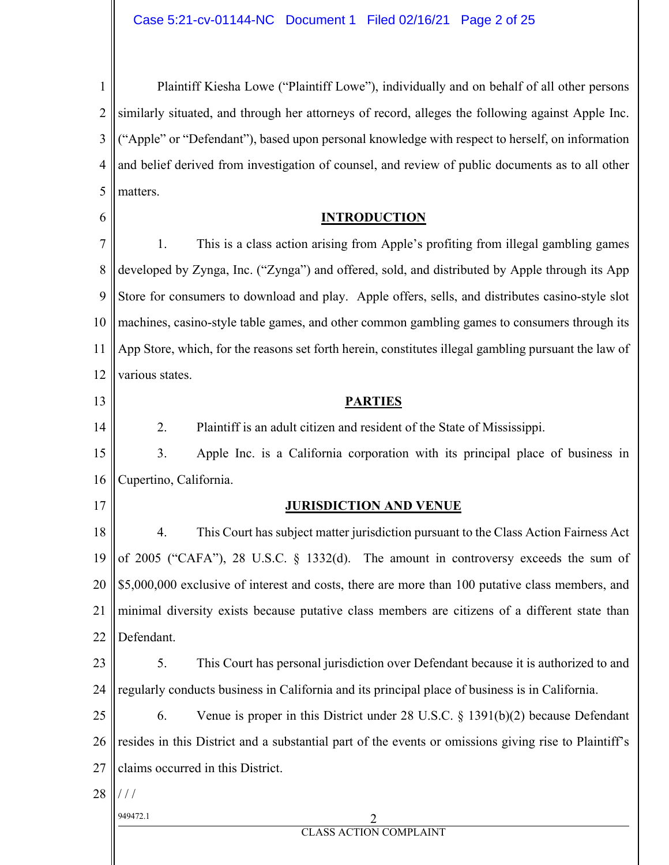1 2 3 4 5 Plaintiff Kiesha Lowe ("Plaintiff Lowe"), individually and on behalf of all other persons similarly situated, and through her attorneys of record, alleges the following against Apple Inc. ("Apple" or "Defendant"), based upon personal knowledge with respect to herself, on information and belief derived from investigation of counsel, and review of public documents as to all other matters.

# **INTRODUCTION**

7 8 9 10 11 12 1. This is a class action arising from Apple's profiting from illegal gambling games developed by Zynga, Inc. ("Zynga") and offered, sold, and distributed by Apple through its App Store for consumers to download and play. Apple offers, sells, and distributes casino-style slot machines, casino-style table games, and other common gambling games to consumers through its App Store, which, for the reasons set forth herein, constitutes illegal gambling pursuant the law of various states.

### **PARTIES**

2. Plaintiff is an adult citizen and resident of the State of Mississippi.

15 16 3. Apple Inc. is a California corporation with its principal place of business in Cupertino, California.

17

13

14

6

### **JURISDICTION AND VENUE**

18 19 20 21 22 4. This Court has subject matter jurisdiction pursuant to the Class Action Fairness Act of 2005 ("CAFA"), 28 U.S.C. § 1332(d). The amount in controversy exceeds the sum of \$5,000,000 exclusive of interest and costs, there are more than 100 putative class members, and minimal diversity exists because putative class members are citizens of a different state than Defendant.

23 24 5. This Court has personal jurisdiction over Defendant because it is authorized to and regularly conducts business in California and its principal place of business is in California.

25 26 27 6. Venue is proper in this District under 28 U.S.C. § 1391(b)(2) because Defendant resides in this District and a substantial part of the events or omissions giving rise to Plaintiff's claims occurred in this District.

- 28  $/ /$ 
	-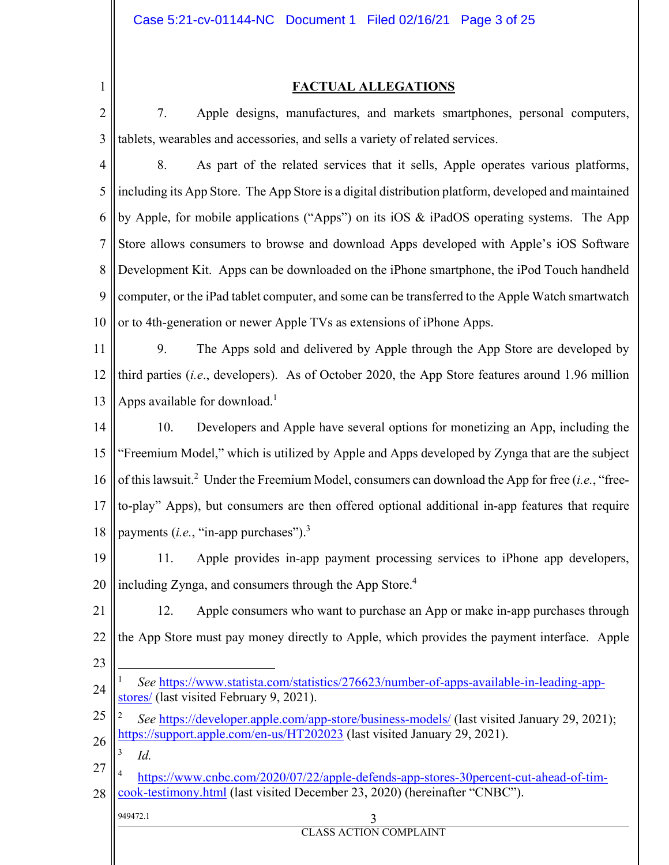1

#### **FACTUAL ALLEGATIONS**

2 3 7. Apple designs, manufactures, and markets smartphones, personal computers, tablets, wearables and accessories, and sells a variety of related services.

4 5 6 7 8 9 10 8. As part of the related services that it sells, Apple operates various platforms, including its App Store. The App Store is a digital distribution platform, developed and maintained by Apple, for mobile applications ("Apps") on its iOS & iPadOS operating systems. The App Store allows consumers to browse and download Apps developed with Apple's iOS Software Development Kit. Apps can be downloaded on the iPhone smartphone, the iPod Touch handheld computer, or the iPad tablet computer, and some can be transferred to the Apple Watch smartwatch or to 4th-generation or newer Apple TVs as extensions of iPhone Apps.

11 12 13 9. The Apps sold and delivered by Apple through the App Store are developed by third parties (*i.e*., developers). As of October 2020, the App Store features around 1.96 million Apps available for download.<sup>1</sup>

14 15 16 17 18 10. Developers and Apple have several options for monetizing an App, including the "Freemium Model," which is utilized by Apple and Apps developed by Zynga that are the subject of this lawsuit.<sup>2</sup> Under the Freemium Model, consumers can download the App for free (*i.e.*, "freeto-play" Apps), but consumers are then offered optional additional in-app features that require payments (*i.e.*, "in-app purchases").3

19 20 11. Apple provides in-app payment processing services to iPhone app developers, including Zynga, and consumers through the App Store.<sup>4</sup>

949472.1 3 CLASS ACTION COMPLAINT 21 22 23 24 25 26 27 28 12. Apple consumers who want to purchase an App or make in-app purchases through the App Store must pay money directly to Apple, which provides the payment interface. Apple  $\overline{a}$ 1 *See* https://www.statista.com/statistics/276623/number-of-apps-available-in-leading-appstores/ (last visited February 9, 2021). 2 *See* https://developer.apple.com/app-store/business-models/ (last visited January 29, 2021); https://support.apple.com/en-us/HT202023 (last visited January 29, 2021). 3 *Id.* 4 https://www.cnbc.com/2020/07/22/apple-defends-app-stores-30percent-cut-ahead-of-timcook-testimony.html (last visited December 23, 2020) (hereinafter "CNBC").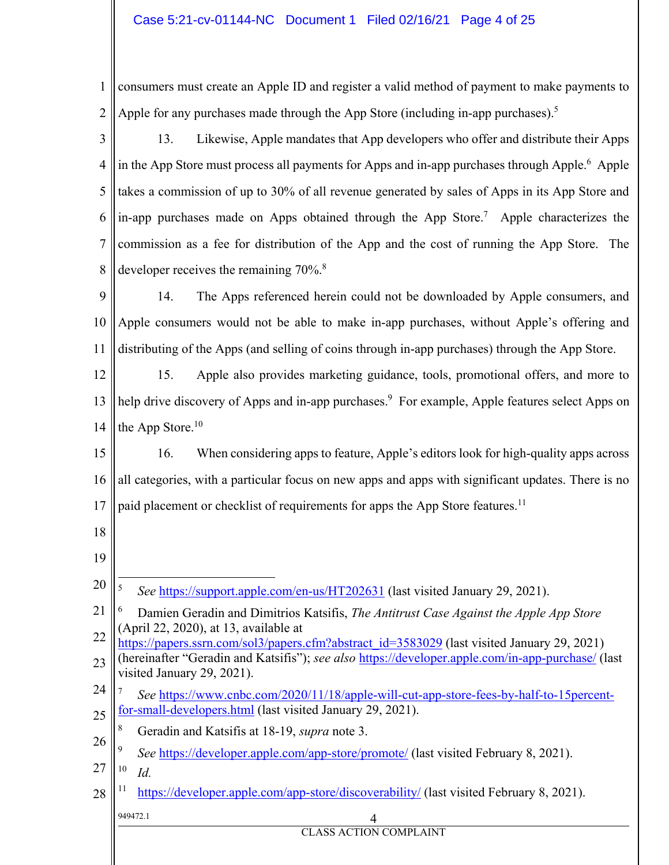#### Case 5:21-cv-01144-NC Document 1 Filed 02/16/21 Page 4 of 25

1 2 consumers must create an Apple ID and register a valid method of payment to make payments to Apple for any purchases made through the App Store (including in-app purchases).<sup>5</sup>

3 4 5 6 7 8 13. Likewise, Apple mandates that App developers who offer and distribute their Apps in the App Store must process all payments for Apps and in-app purchases through Apple.<sup>6</sup> Apple takes a commission of up to 30% of all revenue generated by sales of Apps in its App Store and in-app purchases made on Apps obtained through the App Store.<sup>7</sup> Apple characterizes the commission as a fee for distribution of the App and the cost of running the App Store. The developer receives the remaining 70%.<sup>8</sup>

9 10 11 14. The Apps referenced herein could not be downloaded by Apple consumers, and Apple consumers would not be able to make in-app purchases, without Apple's offering and distributing of the Apps (and selling of coins through in-app purchases) through the App Store.

12 13 14 15. Apple also provides marketing guidance, tools, promotional offers, and more to help drive discovery of Apps and in-app purchases.<sup>9</sup> For example, Apple features select Apps on the App Store. $10$ 

15 16 17 16. When considering apps to feature, Apple's editors look for high-quality apps across all categories, with a particular focus on new apps and apps with significant updates. There is no paid placement or checklist of requirements for apps the App Store features.<sup>11</sup>

- 18
- 19

20

 $\overline{a}$ 

5 *See* https://support.apple.com/en-us/HT202631 (last visited January 29, 2021).

- 21 22 6 Damien Geradin and Dimitrios Katsifis, *The Antitrust Case Against the Apple App Store* (April 22, 2020), at 13, available at
- https://papers.ssrn.com/sol3/papers.cfm?abstract\_id=3583029 (last visited January 29, 2021)
- 23 (hereinafter "Geradin and Katsifis"); *see also* https://developer.apple.com/in-app-purchase/ (last visited January 29, 2021).
- 24 25 7 *See* https://www.cnbc.com/2020/11/18/apple-will-cut-app-store-fees-by-half-to-15percentfor-small-developers.html (last visited January 29, 2021).
- 8 Geradin and Katsifis at 18-19, *supra* note 3.
- 26 9 *See* https://developer.apple.com/app-store/promote/ (last visited February 8, 2021).
- 27 10 *Id.*
- 949472.1 **4** 28 <sup>11</sup> https://developer.apple.com/app-store/discoverability/ (last visited February 8, 2021).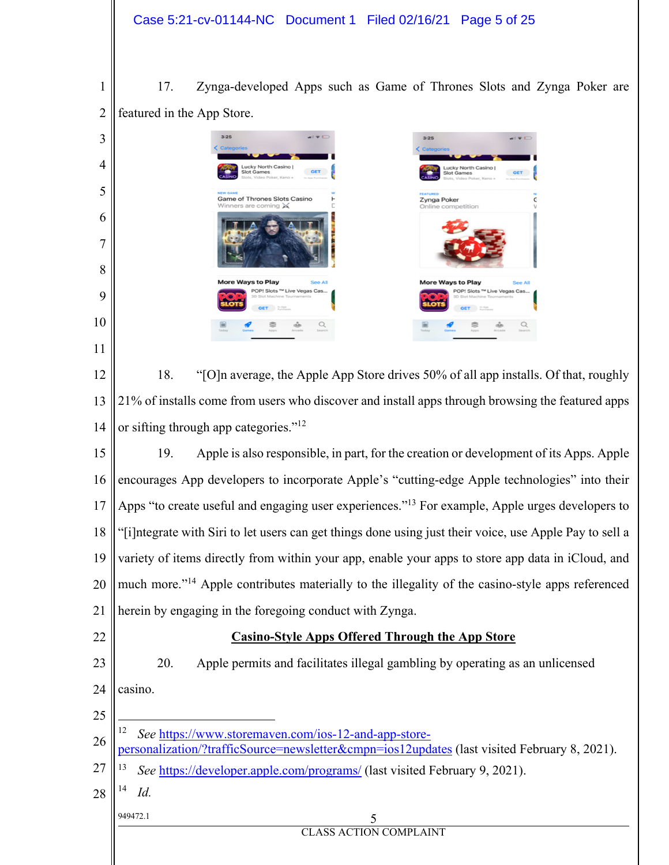17. Zynga-developed Apps such as Game of Thrones Slots and Zynga Poker are featured in the App Store.

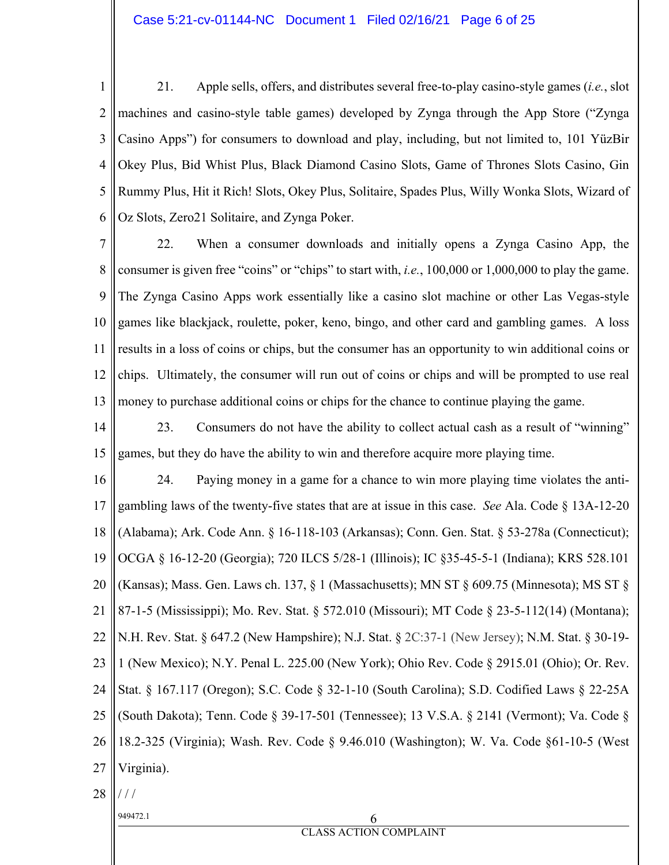1 2 3 4 5 6 21. Apple sells, offers, and distributes several free-to-play casino-style games (*i.e.*, slot machines and casino-style table games) developed by Zynga through the App Store ("Zynga Casino Apps") for consumers to download and play, including, but not limited to, 101 YüzBir Okey Plus, Bid Whist Plus, Black Diamond Casino Slots, Game of Thrones Slots Casino, Gin Rummy Plus, Hit it Rich! Slots, Okey Plus, Solitaire, Spades Plus, Willy Wonka Slots, Wizard of Oz Slots, Zero21 Solitaire, and Zynga Poker.

7 8 9 10 11 12 13 22. When a consumer downloads and initially opens a Zynga Casino App, the consumer is given free "coins" or "chips" to start with, *i.e.*, 100,000 or 1,000,000 to play the game. The Zynga Casino Apps work essentially like a casino slot machine or other Las Vegas-style games like blackjack, roulette, poker, keno, bingo, and other card and gambling games. A loss results in a loss of coins or chips, but the consumer has an opportunity to win additional coins or chips. Ultimately, the consumer will run out of coins or chips and will be prompted to use real money to purchase additional coins or chips for the chance to continue playing the game.

14 15 23. Consumers do not have the ability to collect actual cash as a result of "winning" games, but they do have the ability to win and therefore acquire more playing time.

16 17 18 19 20 21 22 23 24 25 26 27 28 24. Paying money in a game for a chance to win more playing time violates the antigambling laws of the twenty-five states that are at issue in this case. *See* Ala. Code § 13A-12-20 (Alabama); Ark. Code Ann. § 16-118-103 (Arkansas); Conn. Gen. Stat. § 53-278a (Connecticut); OCGA § 16-12-20 (Georgia); 720 ILCS 5/28-1 (Illinois); IC §35-45-5-1 (Indiana); KRS 528.101 (Kansas); Mass. Gen. Laws ch. 137, § 1 (Massachusetts); MN ST § 609.75 (Minnesota); MS ST § 87-1-5 (Mississippi); Mo. Rev. Stat. § 572.010 (Missouri); MT Code § 23-5-112(14) (Montana); N.H. Rev. Stat. § 647.2 (New Hampshire); N.J. Stat. § 2C:37-1 (New Jersey); N.M. Stat. § 30-19- 1 (New Mexico); N.Y. Penal L. 225.00 (New York); Ohio Rev. Code § 2915.01 (Ohio); Or. Rev. Stat. § 167.117 (Oregon); S.C. Code § 32-1-10 (South Carolina); S.D. Codified Laws § 22-25A (South Dakota); Tenn. Code § 39-17-501 (Tennessee); 13 V.S.A. § 2141 (Vermont); Va. Code § 18.2-325 (Virginia); Wash. Rev. Code § 9.46.010 (Washington); W. Va. Code §61-10-5 (West Virginia). / / /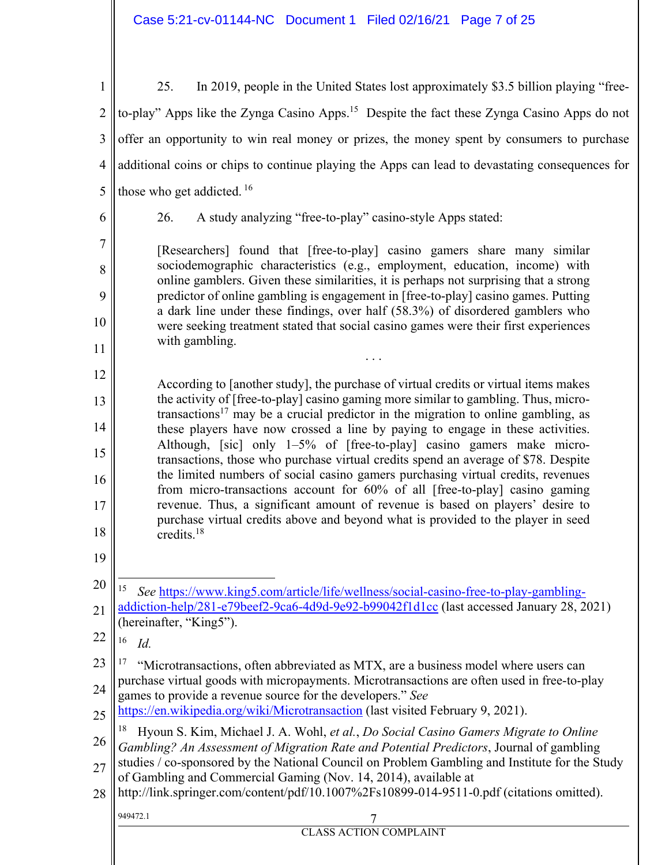Case 5:21-cv-01144-NC Document 1 Filed 02/16/21 Page 7 of 25

| $\mathbf{1}$   | 25.<br>In 2019, people in the United States lost approximately \$3.5 billion playing "free-                                                                                                                                                   |  |  |  |  |  |  |
|----------------|-----------------------------------------------------------------------------------------------------------------------------------------------------------------------------------------------------------------------------------------------|--|--|--|--|--|--|
| $\overline{2}$ | to-play" Apps like the Zynga Casino Apps. <sup>15</sup> Despite the fact these Zynga Casino Apps do not                                                                                                                                       |  |  |  |  |  |  |
| 3              | offer an opportunity to win real money or prizes, the money spent by consumers to purchase                                                                                                                                                    |  |  |  |  |  |  |
| $\overline{4}$ | additional coins or chips to continue playing the Apps can lead to devastating consequences for                                                                                                                                               |  |  |  |  |  |  |
| 5              | those who get addicted. <sup>16</sup>                                                                                                                                                                                                         |  |  |  |  |  |  |
| 6              | 26.<br>A study analyzing "free-to-play" casino-style Apps stated:                                                                                                                                                                             |  |  |  |  |  |  |
| $\overline{7}$ | [Researchers] found that [free-to-play] casino gamers share many similar                                                                                                                                                                      |  |  |  |  |  |  |
| 8              | sociodemographic characteristics (e.g., employment, education, income) with<br>online gamblers. Given these similarities, it is perhaps not surprising that a strong                                                                          |  |  |  |  |  |  |
| 9              | predictor of online gambling is engagement in [free-to-play] casino games. Putting<br>a dark line under these findings, over half (58.3%) of disordered gamblers who                                                                          |  |  |  |  |  |  |
| 10             | were seeking treatment stated that social casino games were their first experiences                                                                                                                                                           |  |  |  |  |  |  |
| 11             | with gambling.                                                                                                                                                                                                                                |  |  |  |  |  |  |
| 12             | According to [another study], the purchase of virtual credits or virtual items makes                                                                                                                                                          |  |  |  |  |  |  |
| 13             | the activity of [free-to-play] casino gaming more similar to gambling. Thus, micro-<br>transactions <sup>17</sup> may be a crucial predictor in the migration to online gambling, as                                                          |  |  |  |  |  |  |
| 14             | these players have now crossed a line by paying to engage in these activities.<br>Although, [sic] only 1-5% of [free-to-play] casino gamers make micro-<br>transactions, those who purchase virtual credits spend an average of \$78. Despite |  |  |  |  |  |  |
| 15             |                                                                                                                                                                                                                                               |  |  |  |  |  |  |
| 16             | the limited numbers of social casino gamers purchasing virtual credits, revenues<br>from micro-transactions account for 60% of all [free-to-play] casino gaming                                                                               |  |  |  |  |  |  |
| 17             | revenue. Thus, a significant amount of revenue is based on players' desire to<br>purchase virtual credits above and beyond what is provided to the player in seed                                                                             |  |  |  |  |  |  |
| 18             | credits. <sup>18</sup>                                                                                                                                                                                                                        |  |  |  |  |  |  |
| 19             |                                                                                                                                                                                                                                               |  |  |  |  |  |  |
| 20             | 15<br>See https://www.king5.com/article/life/wellness/social-casino-free-to-play-gambling-                                                                                                                                                    |  |  |  |  |  |  |
| 21             | addiction-help/281-e79beef2-9ca6-4d9d-9e92-b99042f1d1cc (last accessed January 28, 2021)<br>(hereinafter, "King5").                                                                                                                           |  |  |  |  |  |  |
| 22             | 16<br>Id.                                                                                                                                                                                                                                     |  |  |  |  |  |  |
| 23             | 17<br>"Microtransactions, often abbreviated as MTX, are a business model where users can<br>purchase virtual goods with micropayments. Microtransactions are often used in free-to-play                                                       |  |  |  |  |  |  |
| 24             | games to provide a revenue source for the developers." See                                                                                                                                                                                    |  |  |  |  |  |  |
| 25             | https://en.wikipedia.org/wiki/Microtransaction (last visited February 9, 2021).<br>18<br>Hyoun S. Kim, Michael J. A. Wohl, et al., Do Social Casino Gamers Migrate to Online                                                                  |  |  |  |  |  |  |
| 26             | Gambling? An Assessment of Migration Rate and Potential Predictors, Journal of gambling                                                                                                                                                       |  |  |  |  |  |  |
| 27             | studies / co-sponsored by the National Council on Problem Gambling and Institute for the Study<br>of Gambling and Commercial Gaming (Nov. 14, 2014), available at                                                                             |  |  |  |  |  |  |
| 28             | http://link.springer.com/content/pdf/10.1007%2Fs10899-014-9511-0.pdf (citations omitted).                                                                                                                                                     |  |  |  |  |  |  |
|                | 949472.1<br><b>CLASS ACTION COMPLAINT</b>                                                                                                                                                                                                     |  |  |  |  |  |  |
|                |                                                                                                                                                                                                                                               |  |  |  |  |  |  |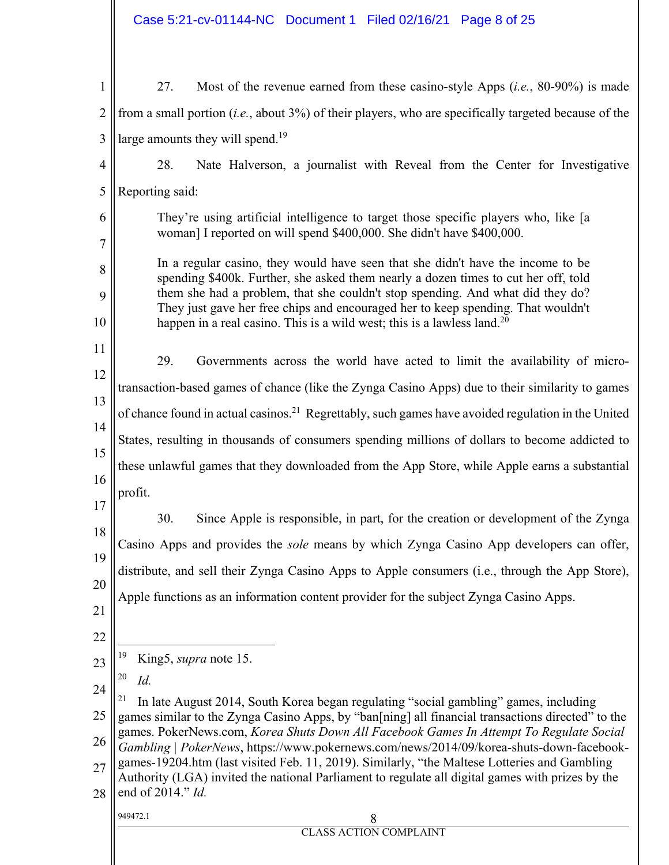## Case 5:21-cv-01144-NC Document 1 Filed 02/16/21 Page 8 of 25

| $\mathbf{1}$   | 27.<br>Most of the revenue earned from these casino-style Apps (i.e., 80-90%) is made                                                                                                        |
|----------------|----------------------------------------------------------------------------------------------------------------------------------------------------------------------------------------------|
| $\overline{2}$ | from a small portion $(i.e.,$ about $3\%)$ of their players, who are specifically targeted because of the                                                                                    |
| 3              | large amounts they will spend. <sup>19</sup>                                                                                                                                                 |
| $\overline{4}$ | 28.<br>Nate Halverson, a journalist with Reveal from the Center for Investigative                                                                                                            |
| 5              | Reporting said:                                                                                                                                                                              |
| 6              | They're using artificial intelligence to target those specific players who, like [a                                                                                                          |
| 7              | woman] I reported on will spend \$400,000. She didn't have \$400,000.                                                                                                                        |
| 8              | In a regular casino, they would have seen that she didn't have the income to be<br>spending \$400k. Further, she asked them nearly a dozen times to cut her off, told                        |
| 9              | them she had a problem, that she couldn't stop spending. And what did they do?                                                                                                               |
| 10             | They just gave her free chips and encouraged her to keep spending. That wouldn't<br>happen in a real casino. This is a wild west; this is a lawless land. $20$                               |
| 11             | 29.                                                                                                                                                                                          |
| 12             | Governments across the world have acted to limit the availability of micro-                                                                                                                  |
| 13             | transaction-based games of chance (like the Zynga Casino Apps) due to their similarity to games                                                                                              |
| 14             | of chance found in actual casinos. <sup>21</sup> Regrettably, such games have avoided regulation in the United                                                                               |
| 15             | States, resulting in thousands of consumers spending millions of dollars to become addicted to                                                                                               |
| 16             | these unlawful games that they downloaded from the App Store, while Apple earns a substantial                                                                                                |
| 17             | profit.                                                                                                                                                                                      |
| 18             | 30.<br>Since Apple is responsible, in part, for the creation or development of the Zynga                                                                                                     |
| 19             | Casino Apps and provides the sole means by which Zynga Casino App developers can offer,                                                                                                      |
| 20             | distribute, and sell their Zynga Casino Apps to Apple consumers (i.e., through the App Store),                                                                                               |
| 21             | Apple functions as an information content provider for the subject Zynga Casino Apps.                                                                                                        |
| 22             |                                                                                                                                                                                              |
| 23             | King5, supra note 15.<br>19                                                                                                                                                                  |
| 24             | 20<br>Id.                                                                                                                                                                                    |
| 25             | In late August 2014, South Korea began regulating "social gambling" games, including                                                                                                         |
| 26             | games similar to the Zynga Casino Apps, by "ban[ning] all financial transactions directed" to the<br>games. PokerNews.com, Korea Shuts Down All Facebook Games In Attempt To Regulate Social |
| 27             | Gambling   PokerNews, https://www.pokernews.com/news/2014/09/korea-shuts-down-facebook-<br>games-19204.htm (last visited Feb. 11, 2019). Similarly, "the Maltese Lotteries and Gambling      |
| 28             | Authority (LGA) invited the national Parliament to regulate all digital games with prizes by the<br>end of 2014." Id.                                                                        |
|                | 949472.1                                                                                                                                                                                     |
|                | 8<br>CLASS ACTION COMPLAINT                                                                                                                                                                  |
|                |                                                                                                                                                                                              |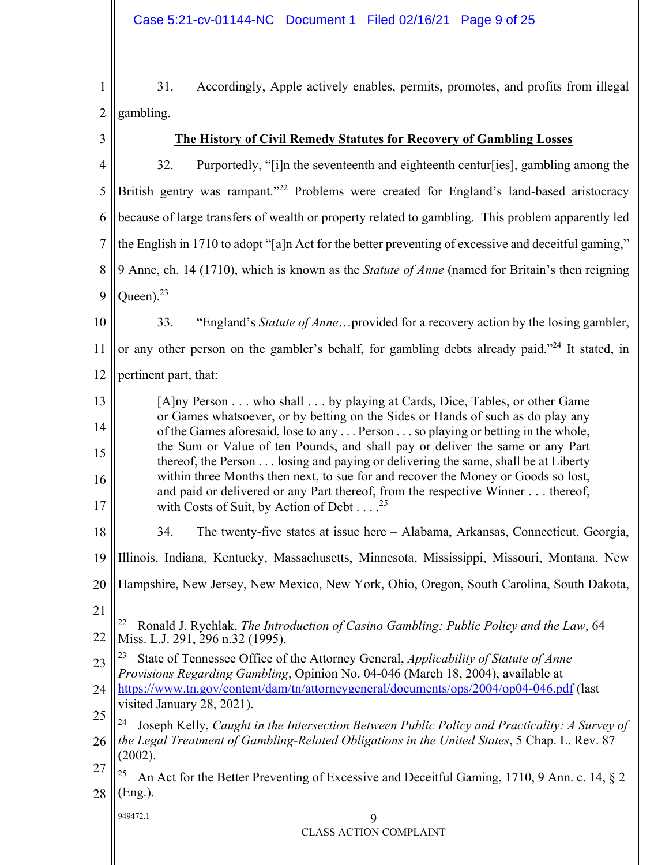1 2 31. Accordingly, Apple actively enables, permits, promotes, and profits from illegal gambling.

3

## **The History of Civil Remedy Statutes for Recovery of Gambling Losses**

4 5 6 7 8 9 10 11 12 32. Purportedly, "[i]n the seventeenth and eighteenth centur[ies], gambling among the British gentry was rampant."<sup>22</sup> Problems were created for England's land-based aristocracy because of large transfers of wealth or property related to gambling. This problem apparently led the English in 1710 to adopt "[a]n Act for the better preventing of excessive and deceitful gaming," 9 Anne, ch. 14 (1710), which is known as the *Statute of Anne* (named for Britain's then reigning Oueen $).^{23}$ 33. "England's *Statute of Anne*…provided for a recovery action by the losing gambler, or any other person on the gambler's behalf, for gambling debts already paid."<sup>24</sup> It stated, in pertinent part, that:

13 14 15 16 17 [A]ny Person . . . who shall . . . by playing at Cards, Dice, Tables, or other Game or Games whatsoever, or by betting on the Sides or Hands of such as do play any of the Games aforesaid, lose to any . . . Person . . . so playing or betting in the whole, the Sum or Value of ten Pounds, and shall pay or deliver the same or any Part thereof, the Person . . . losing and paying or delivering the same, shall be at Liberty within three Months then next, to sue for and recover the Money or Goods so lost, and paid or delivered or any Part thereof, from the respective Winner . . . thereof, with Costs of Suit, by Action of Debt . . . .  $^{25}$ 

- 18 34. The twenty-five states at issue here – Alabama, Arkansas, Connecticut, Georgia,
- 19 Illinois, Indiana, Kentucky, Massachusetts, Minnesota, Mississippi, Missouri, Montana, New
- 20 Hampshire, New Jersey, New Mexico, New York, Ohio, Oregon, South Carolina, South Dakota,
- 21 22 <u>.</u> 22 Ronald J. Rychlak, *The Introduction of Casino Gambling: Public Policy and the Law*, 64 Miss. L.J. 291, 296 n.32 (1995).
- 23 23 State of Tennessee Office of the Attorney General, *Applicability of Statute of Anne Provisions Regarding Gambling*, Opinion No. 04-046 (March 18, 2004), available at
- 24 25 https://www.tn.gov/content/dam/tn/attorneygeneral/documents/ops/2004/op04-046.pdf (last visited January 28, 2021).
- 26 24 Joseph Kelly, *Caught in the Intersection Between Public Policy and Practicality: A Survey of the Legal Treatment of Gambling-Related Obligations in the United States*, 5 Chap. L. Rev. 87 (2002).
- 27 28 <sup>25</sup> An Act for the Better Preventing of Excessive and Deceitful Gaming, 1710, 9 Ann. c. 14,  $\S$  2 (Eng.).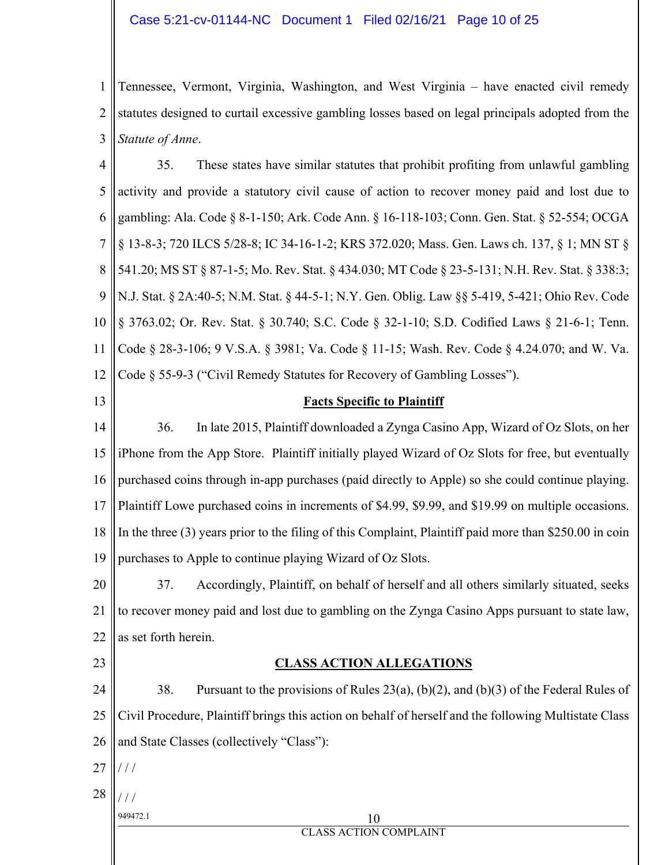1 2 3 Tennessee, Vermont, Virginia, Washington, and West Virginia – have enacted civil remedy statutes designed to curtail excessive gambling losses based on legal principals adopted from the *Statute of Anne*.

4 5 6 7 8 9 10 11 12 35. These states have similar statutes that prohibit profiting from unlawful gambling activity and provide a statutory civil cause of action to recover money paid and lost due to gambling: Ala. Code § 8-1-150; Ark. Code Ann. § 16-118-103; Conn. Gen. Stat. § 52-554; OCGA § 13-8-3; 720 ILCS 5/28-8; IC 34-16-1-2; KRS 372.020; Mass. Gen. Laws ch. 137, § 1; MN ST § 541.20; MS ST § 87-1-5; Mo. Rev. Stat. § 434.030; MT Code § 23-5-131; N.H. Rev. Stat. § 338:3; N.J. Stat. § 2A:40-5; N.M. Stat. § 44-5-1; N.Y. Gen. Oblig. Law §§ 5-419, 5-421; Ohio Rev. Code § 3763.02; Or. Rev. Stat. § 30.740; S.C. Code § 32-1-10; S.D. Codified Laws § 21-6-1; Tenn. Code § 28-3-106; 9 V.S.A. § 3981; Va. Code § 11-15; Wash. Rev. Code § 4.24.070; and W. Va. Code § 55-9-3 ("Civil Remedy Statutes for Recovery of Gambling Losses").

13

### **Facts Specific to Plaintiff**

14 15 16 17 18 19 36. In late 2015, Plaintiff downloaded a Zynga Casino App, Wizard of Oz Slots, on her iPhone from the App Store. Plaintiff initially played Wizard of Oz Slots for free, but eventually purchased coins through in-app purchases (paid directly to Apple) so she could continue playing. Plaintiff Lowe purchased coins in increments of \$4.99, \$9.99, and \$19.99 on multiple occasions. In the three (3) years prior to the filing of this Complaint, Plaintiff paid more than \$250.00 in coin purchases to Apple to continue playing Wizard of Oz Slots.

20 21 22 37. Accordingly, Plaintiff, on behalf of herself and all others similarly situated, seeks to recover money paid and lost due to gambling on the Zynga Casino Apps pursuant to state law, as set forth herein.

23

#### **CLASS ACTION ALLEGATIONS**

24 25 26 38. Pursuant to the provisions of Rules 23(a), (b)(2), and (b)(3) of the Federal Rules of Civil Procedure, Plaintiff brings this action on behalf of herself and the following Multistate Class and State Classes (collectively "Class"):

- 27 / / /
- 28
	- / / /

#### $949472.1$  10 CLASS ACTION COMPLAINT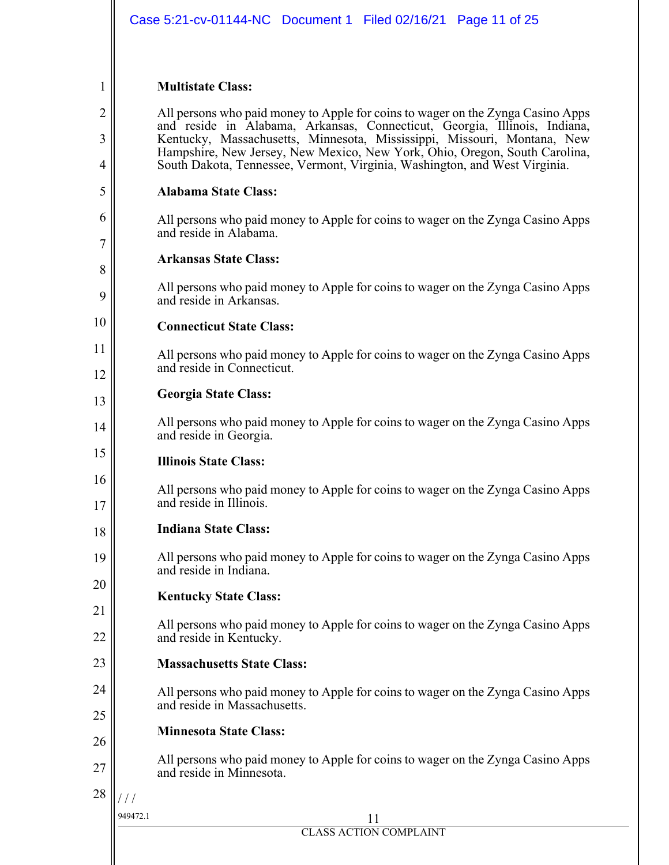### **Multistate Class:**

1

2

3

4

5

6

7

8

9

11

12

13

14

16

17

19

20

21

22

24

25

26

27

All persons who paid money to Apple for coins to wager on the Zynga Casino Apps and reside in Alabama, Arkansas, Connecticut, Georgia, Illinois, Indiana, Kentucky, Massachusetts, Minnesota, Mississippi, Missouri, Montana, New Hampshire, New Jersey, New Mexico, New York, Ohio, Oregon, South Carolina, South Dakota, Tennessee, Vermont, Virginia, Washington, and West Virginia.

#### **Alabama State Class:**

All persons who paid money to Apple for coins to wager on the Zynga Casino Apps and reside in Alabama.

#### **Arkansas State Class:**

All persons who paid money to Apple for coins to wager on the Zynga Casino Apps and reside in Arkansas.

#### 10 **Connecticut State Class:**

All persons who paid money to Apple for coins to wager on the Zynga Casino Apps and reside in Connecticut.

#### **Georgia State Class:**

All persons who paid money to Apple for coins to wager on the Zynga Casino Apps and reside in Georgia.

#### 15 **Illinois State Class:**

All persons who paid money to Apple for coins to wager on the Zynga Casino Apps and reside in Illinois.

#### 18 **Indiana State Class:**

All persons who paid money to Apple for coins to wager on the Zynga Casino Apps and reside in Indiana.

### **Kentucky State Class:**

All persons who paid money to Apple for coins to wager on the Zynga Casino Apps and reside in Kentucky.

#### 23 **Massachusetts State Class:**

All persons who paid money to Apple for coins to wager on the Zynga Casino Apps and reside in Massachusetts.

### **Minnesota State Class:**

All persons who paid money to Apple for coins to wager on the Zynga Casino Apps and reside in Minnesota.

#### 28 / / /

# 949472.1 11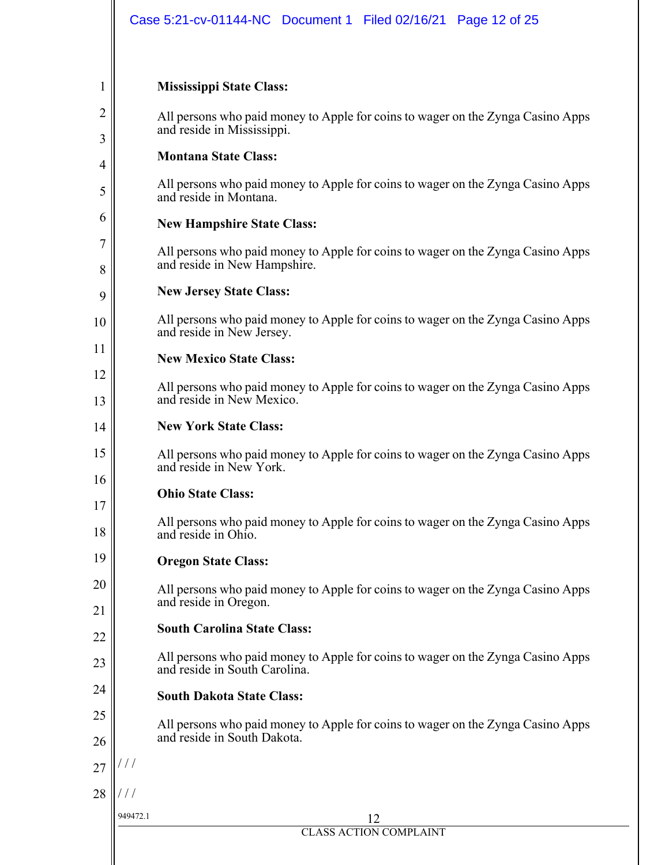#### **Mississippi State Class:**

1

2

3

4

5

6

7

8

9

10

11

12

13

15

16

17

18

20

21

23

24

25

26

All persons who paid money to Apple for coins to wager on the Zynga Casino Apps and reside in Mississippi.

#### **Montana State Class:**

All persons who paid money to Apple for coins to wager on the Zynga Casino Apps and reside in Montana.

#### **New Hampshire State Class:**

All persons who paid money to Apple for coins to wager on the Zynga Casino Apps and reside in New Hampshire.

#### **New Jersey State Class:**

All persons who paid money to Apple for coins to wager on the Zynga Casino Apps and reside in New Jersey.

#### **New Mexico State Class:**

All persons who paid money to Apple for coins to wager on the Zynga Casino Apps and reside in New Mexico.

#### 14 **New York State Class:**

All persons who paid money to Apple for coins to wager on the Zynga Casino Apps and reside in New York.

#### **Ohio State Class:**

All persons who paid money to Apple for coins to wager on the Zynga Casino Apps and reside in Ohio.

#### 19 **Oregon State Class:**

All persons who paid money to Apple for coins to wager on the Zynga Casino Apps and reside in Oregon.

#### 22 **South Carolina State Class:**

All persons who paid money to Apple for coins to wager on the Zynga Casino Apps and reside in South Carolina.

### **South Dakota State Class:**

All persons who paid money to Apple for coins to wager on the Zynga Casino Apps and reside in South Dakota.

#### 27 / / /

28 / / /

#### 949472.1 12 CLASS ACTION COMPLAINT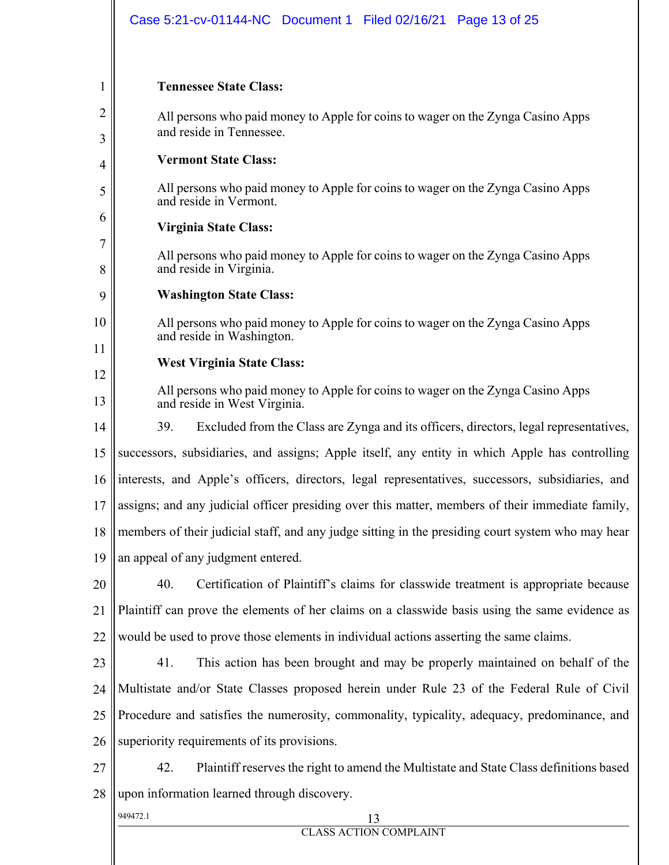#### **Tennessee State Class:**

All persons who paid money to Apple for coins to wager on the Zynga Casino Apps and reside in Tennessee.

#### **Vermont State Class:**

1

2

3

4

5

6

7

8

9

10

11

12

13

All persons who paid money to Apple for coins to wager on the Zynga Casino Apps and reside in Vermont.

#### **Virginia State Class:**

All persons who paid money to Apple for coins to wager on the Zynga Casino Apps and reside in Virginia.

#### **Washington State Class:**

All persons who paid money to Apple for coins to wager on the Zynga Casino Apps and reside in Washington.

### **West Virginia State Class:**

All persons who paid money to Apple for coins to wager on the Zynga Casino Apps and reside in West Virginia.

14 15 16 17 18 19 39. Excluded from the Class are Zynga and its officers, directors, legal representatives, successors, subsidiaries, and assigns; Apple itself, any entity in which Apple has controlling interests, and Apple's officers, directors, legal representatives, successors, subsidiaries, and assigns; and any judicial officer presiding over this matter, members of their immediate family, members of their judicial staff, and any judge sitting in the presiding court system who may hear an appeal of any judgment entered.

20 21 22 40. Certification of Plaintiff's claims for classwide treatment is appropriate because Plaintiff can prove the elements of her claims on a classwide basis using the same evidence as would be used to prove those elements in individual actions asserting the same claims.

23

24

41. This action has been brought and may be properly maintained on behalf of the Multistate and/or State Classes proposed herein under Rule 23 of the Federal Rule of Civil

25 26 Procedure and satisfies the numerosity, commonality, typicality, adequacy, predominance, and superiority requirements of its provisions.

27 28 42. Plaintiff reserves the right to amend the Multistate and State Class definitions based upon information learned through discovery.

949472.1 13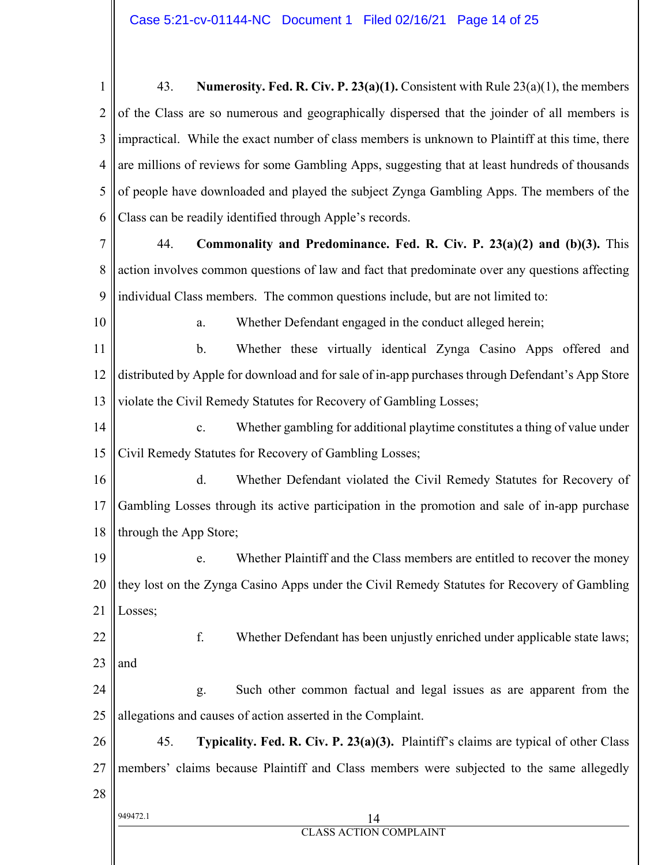1 2 3 4 5 6 43. **Numerosity. Fed. R. Civ. P. 23(a)(1).** Consistent with Rule 23(a)(1), the members of the Class are so numerous and geographically dispersed that the joinder of all members is impractical. While the exact number of class members is unknown to Plaintiff at this time, there are millions of reviews for some Gambling Apps, suggesting that at least hundreds of thousands of people have downloaded and played the subject Zynga Gambling Apps. The members of the Class can be readily identified through Apple's records.

7 8 9 44. **Commonality and Predominance. Fed. R. Civ. P. 23(a)(2) and (b)(3).** This action involves common questions of law and fact that predominate over any questions affecting individual Class members. The common questions include, but are not limited to:

10

a. Whether Defendant engaged in the conduct alleged herein;

11 12 13 b. Whether these virtually identical Zynga Casino Apps offered and distributed by Apple for download and for sale of in-app purchases through Defendant's App Store violate the Civil Remedy Statutes for Recovery of Gambling Losses;

14 15 c. Whether gambling for additional playtime constitutes a thing of value under Civil Remedy Statutes for Recovery of Gambling Losses;

16 17 18 d. Whether Defendant violated the Civil Remedy Statutes for Recovery of Gambling Losses through its active participation in the promotion and sale of in-app purchase through the App Store;

19 20 21 e. Whether Plaintiff and the Class members are entitled to recover the money they lost on the Zynga Casino Apps under the Civil Remedy Statutes for Recovery of Gambling Losses;

22 23 f. Whether Defendant has been unjustly enriched under applicable state laws; and

24 25 g. Such other common factual and legal issues as are apparent from the allegations and causes of action asserted in the Complaint.

26 27 45. **Typicality. Fed. R. Civ. P. 23(a)(3).** Plaintiff's claims are typical of other Class members' claims because Plaintiff and Class members were subjected to the same allegedly

CLASS ACTION COMPLAINT

 $949472.1$  14

28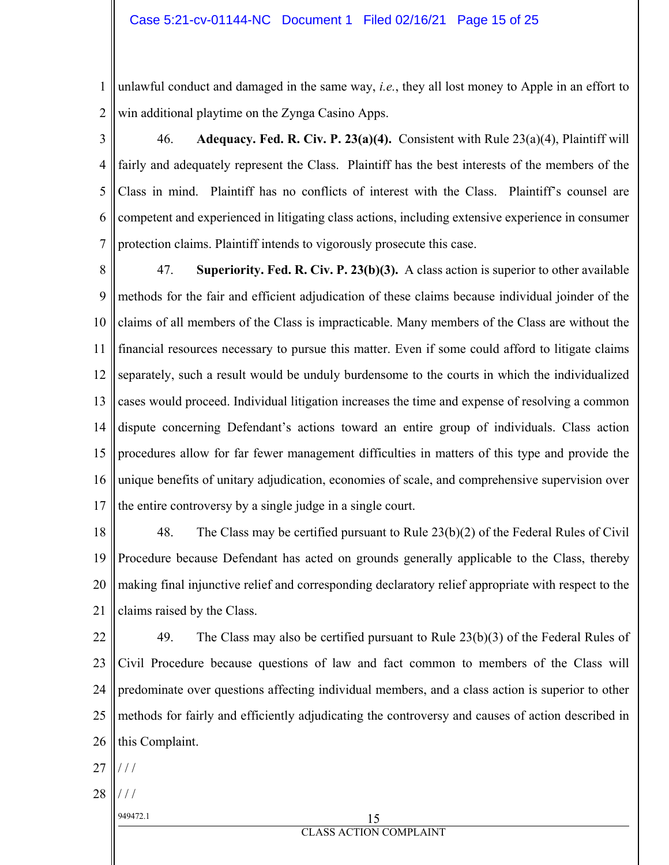1 2 unlawful conduct and damaged in the same way, *i.e.*, they all lost money to Apple in an effort to win additional playtime on the Zynga Casino Apps.

3

4 5 6 7 46. **Adequacy. Fed. R. Civ. P. 23(a)(4).** Consistent with Rule 23(a)(4), Plaintiff will fairly and adequately represent the Class. Plaintiff has the best interests of the members of the Class in mind. Plaintiff has no conflicts of interest with the Class. Plaintiff's counsel are competent and experienced in litigating class actions, including extensive experience in consumer protection claims. Plaintiff intends to vigorously prosecute this case.

8 9 10 11 12 13 14 15 16 17 47. **Superiority. Fed. R. Civ. P. 23(b)(3).** A class action is superior to other available methods for the fair and efficient adjudication of these claims because individual joinder of the claims of all members of the Class is impracticable. Many members of the Class are without the financial resources necessary to pursue this matter. Even if some could afford to litigate claims separately, such a result would be unduly burdensome to the courts in which the individualized cases would proceed. Individual litigation increases the time and expense of resolving a common dispute concerning Defendant's actions toward an entire group of individuals. Class action procedures allow for far fewer management difficulties in matters of this type and provide the unique benefits of unitary adjudication, economies of scale, and comprehensive supervision over the entire controversy by a single judge in a single court.

18 19 20 21 48. The Class may be certified pursuant to Rule 23(b)(2) of the Federal Rules of Civil Procedure because Defendant has acted on grounds generally applicable to the Class, thereby making final injunctive relief and corresponding declaratory relief appropriate with respect to the claims raised by the Class.

22 23 24 25 26 49. The Class may also be certified pursuant to Rule 23(b)(3) of the Federal Rules of Civil Procedure because questions of law and fact common to members of the Class will predominate over questions affecting individual members, and a class action is superior to other methods for fairly and efficiently adjudicating the controversy and causes of action described in this Complaint.

- 27 / / /
- 28 / / /
	- $949472.1$  15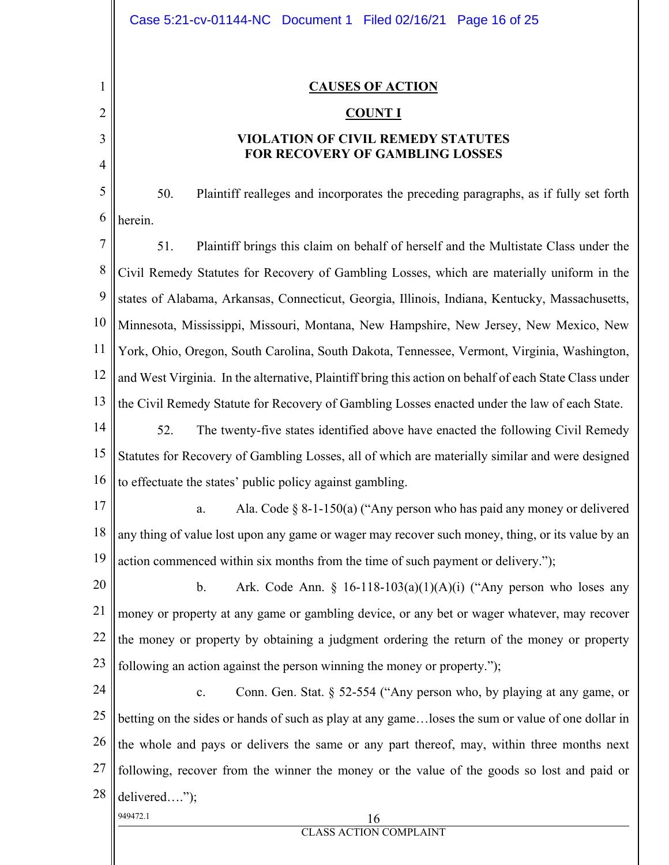1

2

3

4

5

6

# **CAUSES OF ACTION COUNT I VIOLATION OF CIVIL REMEDY STATUTES FOR RECOVERY OF GAMBLING LOSSES**

50. Plaintiff realleges and incorporates the preceding paragraphs, as if fully set forth herein.

7 8 9 10 11 12 13 51. Plaintiff brings this claim on behalf of herself and the Multistate Class under the Civil Remedy Statutes for Recovery of Gambling Losses, which are materially uniform in the states of Alabama, Arkansas, Connecticut, Georgia, Illinois, Indiana, Kentucky, Massachusetts, Minnesota, Mississippi, Missouri, Montana, New Hampshire, New Jersey, New Mexico, New York, Ohio, Oregon, South Carolina, South Dakota, Tennessee, Vermont, Virginia, Washington, and West Virginia. In the alternative, Plaintiff bring this action on behalf of each State Class under the Civil Remedy Statute for Recovery of Gambling Losses enacted under the law of each State.

14 15 16 52. The twenty-five states identified above have enacted the following Civil Remedy Statutes for Recovery of Gambling Losses, all of which are materially similar and were designed to effectuate the states' public policy against gambling.

17 18 19 a. Ala. Code § 8-1-150(a) ("Any person who has paid any money or delivered any thing of value lost upon any game or wager may recover such money, thing, or its value by an action commenced within six months from the time of such payment or delivery.");

20 21 22 23 b. Ark. Code Ann. § 16-118-103(a)(1)(A)(i) ("Any person who loses any money or property at any game or gambling device, or any bet or wager whatever, may recover the money or property by obtaining a judgment ordering the return of the money or property following an action against the person winning the money or property.");

949472.1  $16$ 24 25 26 27 28 c. Conn. Gen. Stat.  $\S 52-554$  ("Any person who, by playing at any game, or betting on the sides or hands of such as play at any game…loses the sum or value of one dollar in the whole and pays or delivers the same or any part thereof, may, within three months next following, recover from the winner the money or the value of the goods so lost and paid or delivered….");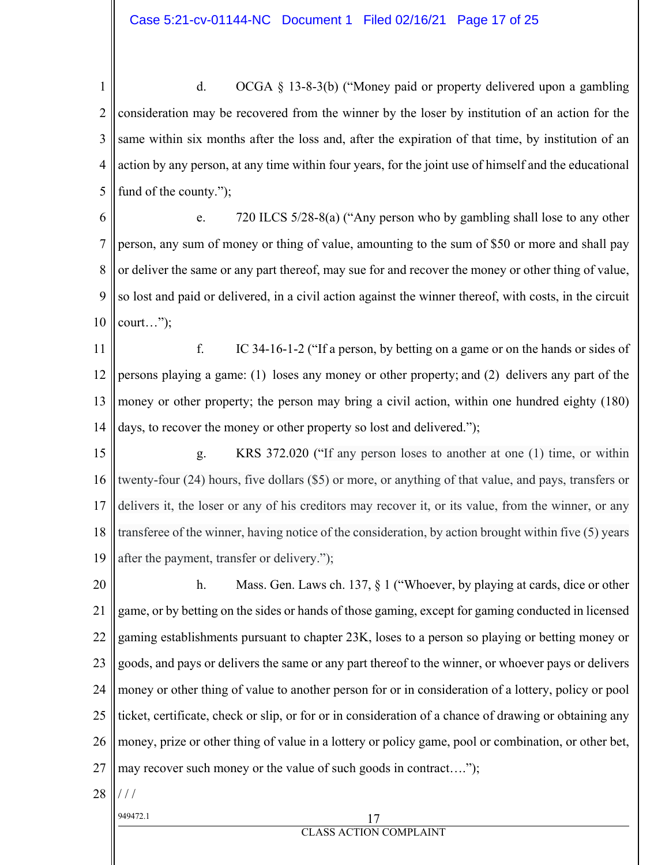1 2 3 4 5 d. OCGA § 13-8-3(b) ("Money paid or property delivered upon a gambling consideration may be recovered from the winner by the loser by institution of an action for the same within six months after the loss and, after the expiration of that time, by institution of an action by any person, at any time within four years, for the joint use of himself and the educational fund of the county.");

6 7 8 9 10 e. 720 ILCS 5/28-8(a) ("Any person who by gambling shall lose to any other person, any sum of money or thing of value, amounting to the sum of \$50 or more and shall pay or deliver the same or any part thereof, may sue for and recover the money or other thing of value, so lost and paid or delivered, in a civil action against the winner thereof, with costs, in the circuit court…");

11 12 13 14 f. IC 34-16-1-2 ("If a person, by betting on a game or on the hands or sides of persons playing a game: (1) loses any money or other property; and (2) delivers any part of the money or other property; the person may bring a civil action, within one hundred eighty (180) days, to recover the money or other property so lost and delivered.");

15 16 17 18 19 g. KRS 372.020 ("If any person loses to another at one (1) time, or within twenty-four (24) hours, five dollars (\$5) or more, or anything of that value, and pays, transfers or delivers it, the loser or any of his creditors may recover it, or its value, from the winner, or any transferee of the winner, having notice of the consideration, by action brought within five (5) years after the payment, transfer or delivery.");

20 21 22 23 24 25 26 27 h. Mass. Gen. Laws ch. 137, § 1 ("Whoever, by playing at cards, dice or other game, or by betting on the sides or hands of those gaming, except for gaming conducted in licensed gaming establishments pursuant to chapter 23K, loses to a person so playing or betting money or goods, and pays or delivers the same or any part thereof to the winner, or whoever pays or delivers money or other thing of value to another person for or in consideration of a lottery, policy or pool ticket, certificate, check or slip, or for or in consideration of a chance of drawing or obtaining any money, prize or other thing of value in a lottery or policy game, pool or combination, or other bet, may recover such money or the value of such goods in contract….");

- 28  $/ /$ 
	-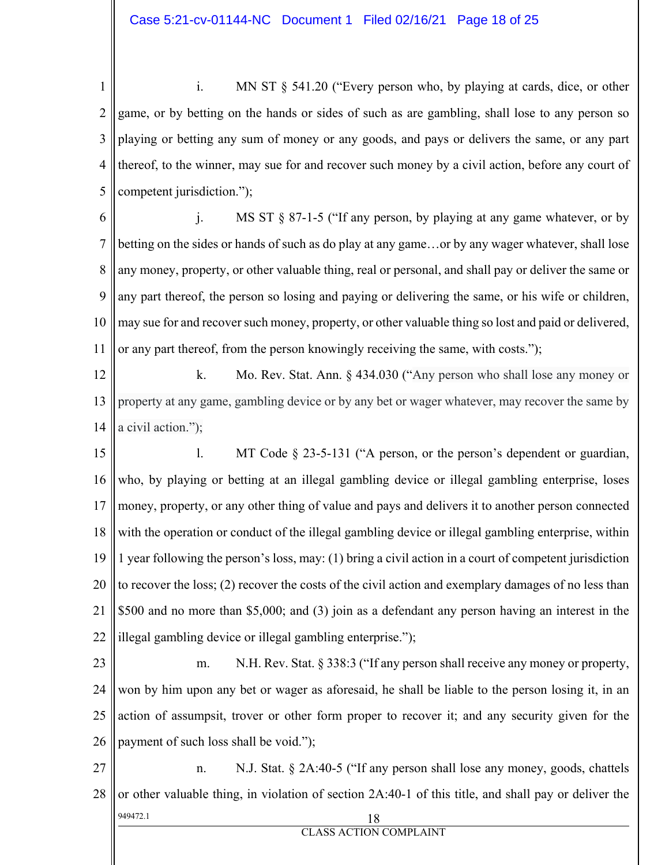1 2 3 4 5 i. MN ST § 541.20 ("Every person who, by playing at cards, dice, or other game, or by betting on the hands or sides of such as are gambling, shall lose to any person so playing or betting any sum of money or any goods, and pays or delivers the same, or any part thereof, to the winner, may sue for and recover such money by a civil action, before any court of competent jurisdiction.");

6 7 8 9 10 11 j. MS ST § 87-1-5 ("If any person, by playing at any game whatever, or by betting on the sides or hands of such as do play at any game…or by any wager whatever, shall lose any money, property, or other valuable thing, real or personal, and shall pay or deliver the same or any part thereof, the person so losing and paying or delivering the same, or his wife or children, may sue for and recover such money, property, or other valuable thing so lost and paid or delivered, or any part thereof, from the person knowingly receiving the same, with costs.");

12 13 14 k. Mo. Rev. Stat. Ann. § 434.030 ("Any person who shall lose any money or property at any game, gambling device or by any bet or wager whatever, may recover the same by a civil action.");

15 16 17 18 19 20 21 22 l. MT Code § 23-5-131 ("A person, or the person's dependent or guardian, who, by playing or betting at an illegal gambling device or illegal gambling enterprise, loses money, property, or any other thing of value and pays and delivers it to another person connected with the operation or conduct of the illegal gambling device or illegal gambling enterprise, within 1 year following the person's loss, may: (1) bring a civil action in a court of competent jurisdiction to recover the loss; (2) recover the costs of the civil action and exemplary damages of no less than \$500 and no more than \$5,000; and (3) join as a defendant any person having an interest in the illegal gambling device or illegal gambling enterprise.");

23 24 25 26 m. N.H. Rev. Stat. § 338:3 ("If any person shall receive any money or property, won by him upon any bet or wager as aforesaid, he shall be liable to the person losing it, in an action of assumpsit, trover or other form proper to recover it; and any security given for the payment of such loss shall be void.");

949472.1 18 27 28 n. N.J. Stat. § 2A:40-5 ("If any person shall lose any money, goods, chattels or other valuable thing, in violation of section 2A:40-1 of this title, and shall pay or deliver the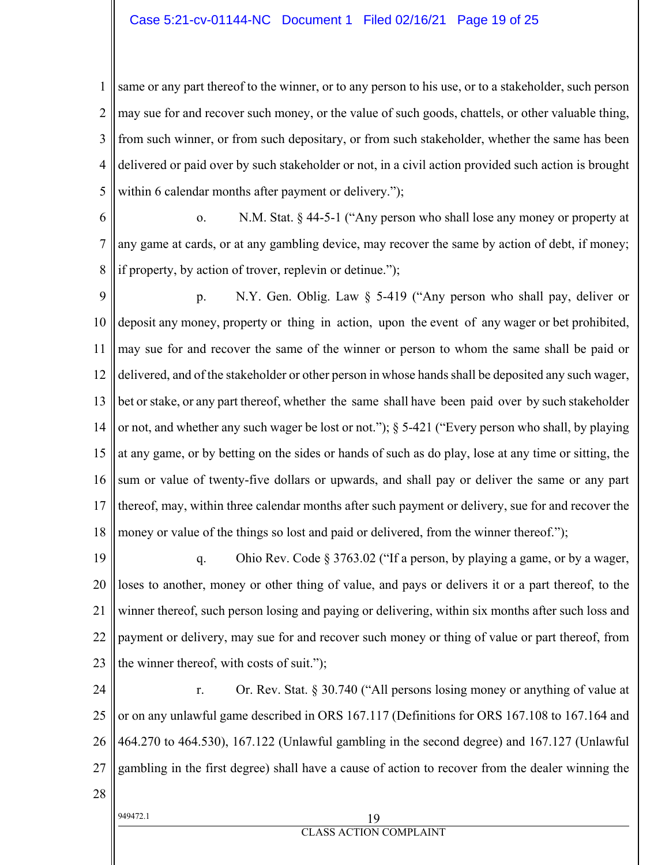#### Case 5:21-cv-01144-NC Document 1 Filed 02/16/21 Page 19 of 25

1 2 3 4 5 same or any part thereof to the winner, or to any person to his use, or to a stakeholder, such person may sue for and recover such money, or the value of such goods, chattels, or other valuable thing, from such winner, or from such depositary, or from such stakeholder, whether the same has been delivered or paid over by such stakeholder or not, in a civil action provided such action is brought within 6 calendar months after payment or delivery.");

6

7

8

o. N.M. Stat. § 44-5-1 ("Any person who shall lose any money or property at any game at cards, or at any gambling device, may recover the same by action of debt, if money; if property, by action of trover, replevin or detinue.");

9 10 11 12 13 14 15 16 17 18 p. N.Y. Gen. Oblig. Law § 5-419 ("Any person who shall pay, deliver or deposit any money, property or thing in action, upon the event of any wager or bet prohibited, may sue for and recover the same of the winner or person to whom the same shall be paid or delivered, and of the stakeholder or other person in whose hands shall be deposited any such wager, bet or stake, or any part thereof, whether the same shall have been paid over by such stakeholder or not, and whether any such wager be lost or not.");  $\S$  5-421 ("Every person who shall, by playing at any game, or by betting on the sides or hands of such as do play, lose at any time or sitting, the sum or value of twenty-five dollars or upwards, and shall pay or deliver the same or any part thereof, may, within three calendar months after such payment or delivery, sue for and recover the money or value of the things so lost and paid or delivered, from the winner thereof.");

19 20 21 22 23 q. Ohio Rev. Code § 3763.02 ("If a person, by playing a game, or by a wager, loses to another, money or other thing of value, and pays or delivers it or a part thereof, to the winner thereof, such person losing and paying or delivering, within six months after such loss and payment or delivery, may sue for and recover such money or thing of value or part thereof, from the winner thereof, with costs of suit.");

24 25 26 27 r. Or. Rev. Stat. § 30.740 ("All persons losing money or anything of value at or on any unlawful game described in ORS 167.117 (Definitions for ORS 167.108 to 167.164 and 464.270 to 464.530), 167.122 (Unlawful gambling in the second degree) and 167.127 (Unlawful gambling in the first degree) shall have a cause of action to recover from the dealer winning the

- 28
-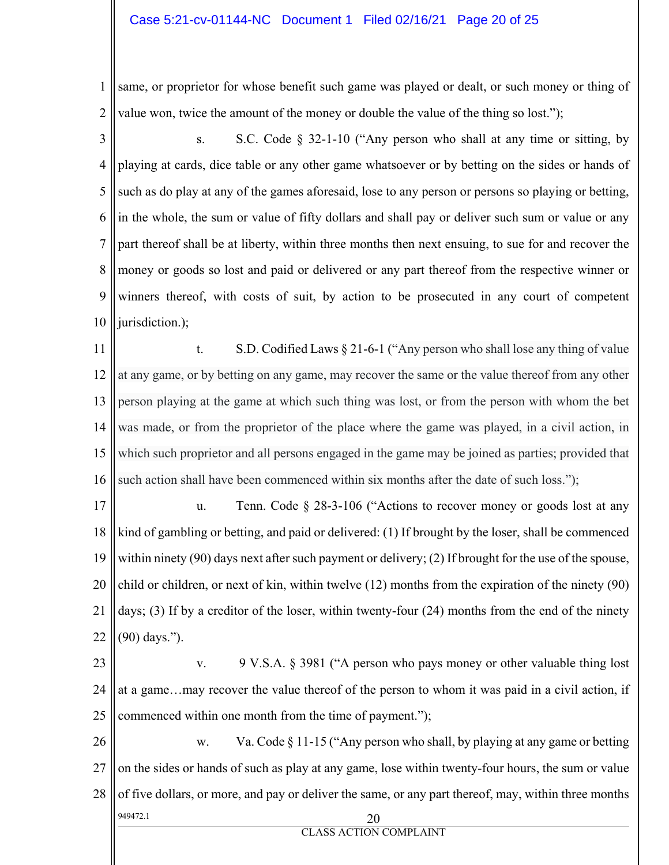#### Case 5:21-cv-01144-NC Document 1 Filed 02/16/21 Page 20 of 25

1 2 same, or proprietor for whose benefit such game was played or dealt, or such money or thing of value won, twice the amount of the money or double the value of the thing so lost.");

3 4 5 6 7 8 9 10 s. S.C. Code  $\S 32$ -1-10 ("Any person who shall at any time or sitting, by playing at cards, dice table or any other game whatsoever or by betting on the sides or hands of such as do play at any of the games aforesaid, lose to any person or persons so playing or betting, in the whole, the sum or value of fifty dollars and shall pay or deliver such sum or value or any part thereof shall be at liberty, within three months then next ensuing, to sue for and recover the money or goods so lost and paid or delivered or any part thereof from the respective winner or winners thereof, with costs of suit, by action to be prosecuted in any court of competent jurisdiction.);

11 12 13 14 15 16 t. S.D. Codified Laws  $\S 21-6-1$  ("Any person who shall lose any thing of value at any game, or by betting on any game, may recover the same or the value thereof from any other person playing at the game at which such thing was lost, or from the person with whom the bet was made, or from the proprietor of the place where the game was played, in a civil action, in which such proprietor and all persons engaged in the game may be joined as parties; provided that such action shall have been commenced within six months after the date of such loss.");

17 18 19 20 21 22 u. Tenn. Code  $\S 28-3-106$  ("Actions to recover money or goods lost at any kind of gambling or betting, and paid or delivered: (1) If brought by the loser, shall be commenced within ninety (90) days next after such payment or delivery; (2) If brought for the use of the spouse, child or children, or next of kin, within twelve (12) months from the expiration of the ninety (90) days; (3) If by a creditor of the loser, within twenty-four (24) months from the end of the ninety (90) days.").

23 24 25 v. 9 V.S.A. § 3981 ("A person who pays money or other valuable thing lost at a game…may recover the value thereof of the person to whom it was paid in a civil action, if commenced within one month from the time of payment.");

 $949472.1$  20 CLASS ACTION COMPLAINT 26 27 28 w. Va. Code § 11-15 ("Any person who shall, by playing at any game or betting on the sides or hands of such as play at any game, lose within twenty-four hours, the sum or value of five dollars, or more, and pay or deliver the same, or any part thereof, may, within three months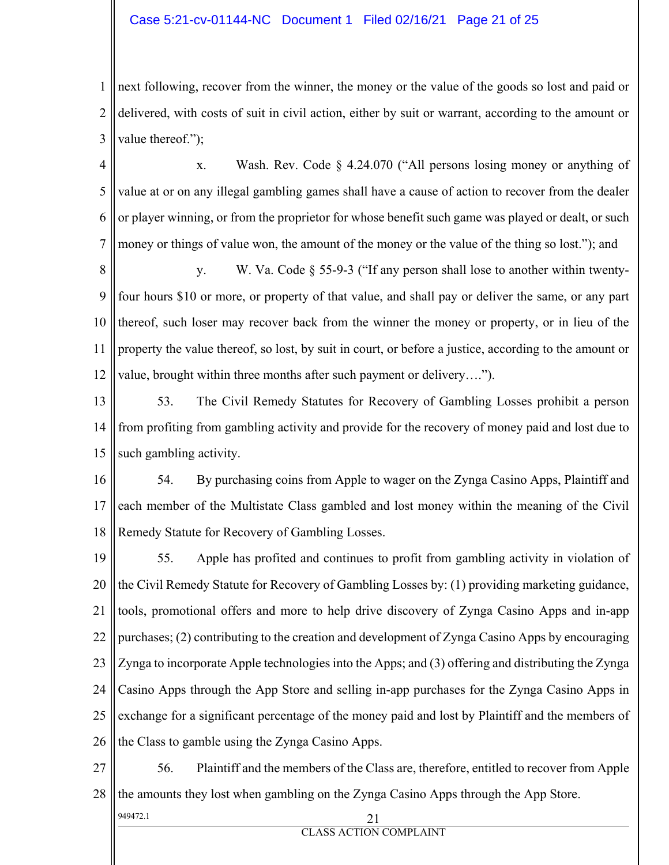#### Case 5:21-cv-01144-NC Document 1 Filed 02/16/21 Page 21 of 25

1 2 3 next following, recover from the winner, the money or the value of the goods so lost and paid or delivered, with costs of suit in civil action, either by suit or warrant, according to the amount or value thereof.");

4 5 6 7 8 9 10 11 12 x. Wash. Rev. Code § 4.24.070 ("All persons losing money or anything of value at or on any illegal gambling games shall have a cause of action to recover from the dealer or player winning, or from the proprietor for whose benefit such game was played or dealt, or such money or things of value won, the amount of the money or the value of the thing so lost."); and y. W. Va. Code § 55-9-3 ("If any person shall lose to another within twentyfour hours \$10 or more, or property of that value, and shall pay or deliver the same, or any part thereof, such loser may recover back from the winner the money or property, or in lieu of the property the value thereof, so lost, by suit in court, or before a justice, according to the amount or value, brought within three months after such payment or delivery….").

13 14 15 53. The Civil Remedy Statutes for Recovery of Gambling Losses prohibit a person from profiting from gambling activity and provide for the recovery of money paid and lost due to such gambling activity.

16 17 18 54. By purchasing coins from Apple to wager on the Zynga Casino Apps, Plaintiff and each member of the Multistate Class gambled and lost money within the meaning of the Civil Remedy Statute for Recovery of Gambling Losses.

19 20 21 22 23 24 25 26 55. Apple has profited and continues to profit from gambling activity in violation of the Civil Remedy Statute for Recovery of Gambling Losses by: (1) providing marketing guidance, tools, promotional offers and more to help drive discovery of Zynga Casino Apps and in-app purchases; (2) contributing to the creation and development of Zynga Casino Apps by encouraging Zynga to incorporate Apple technologies into the Apps; and (3) offering and distributing the Zynga Casino Apps through the App Store and selling in-app purchases for the Zynga Casino Apps in exchange for a significant percentage of the money paid and lost by Plaintiff and the members of the Class to gamble using the Zynga Casino Apps.

27 28 56. Plaintiff and the members of the Class are, therefore, entitled to recover from Apple the amounts they lost when gambling on the Zynga Casino Apps through the App Store.

949472.1 21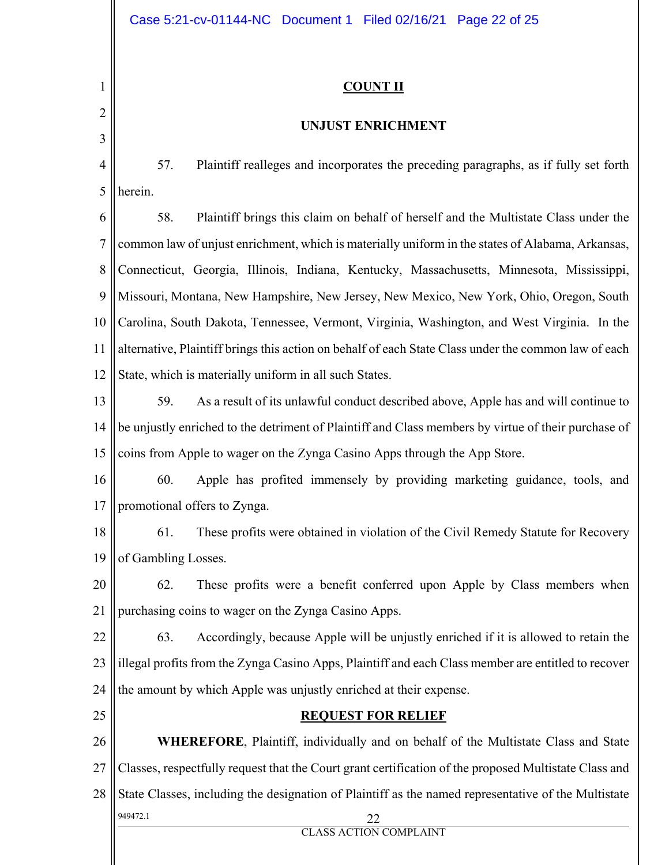1

2

#### **COUNT II**

#### **UNJUST ENRICHMENT**

3 4 5 6 7 8 9 10 11 12 13 14 15 16 17 18 19 20 21 22 23 24 25 26 27 28 57. Plaintiff realleges and incorporates the preceding paragraphs, as if fully set forth herein. 58. Plaintiff brings this claim on behalf of herself and the Multistate Class under the common law of unjust enrichment, which is materially uniform in the states of Alabama, Arkansas, Connecticut, Georgia, Illinois, Indiana, Kentucky, Massachusetts, Minnesota, Mississippi, Missouri, Montana, New Hampshire, New Jersey, New Mexico, New York, Ohio, Oregon, South Carolina, South Dakota, Tennessee, Vermont, Virginia, Washington, and West Virginia. In the alternative, Plaintiff brings this action on behalf of each State Class under the common law of each State, which is materially uniform in all such States. 59. As a result of its unlawful conduct described above, Apple has and will continue to be unjustly enriched to the detriment of Plaintiff and Class members by virtue of their purchase of coins from Apple to wager on the Zynga Casino Apps through the App Store. 60. Apple has profited immensely by providing marketing guidance, tools, and promotional offers to Zynga. 61. These profits were obtained in violation of the Civil Remedy Statute for Recovery of Gambling Losses. 62. These profits were a benefit conferred upon Apple by Class members when purchasing coins to wager on the Zynga Casino Apps. 63. Accordingly, because Apple will be unjustly enriched if it is allowed to retain the illegal profits from the Zynga Casino Apps, Plaintiff and each Class member are entitled to recover the amount by which Apple was unjustly enriched at their expense. **REQUEST FOR RELIEF WHEREFORE**, Plaintiff, individually and on behalf of the Multistate Class and State Classes, respectfully request that the Court grant certification of the proposed Multistate Class and State Classes, including the designation of Plaintiff as the named representative of the Multistate

949472.1 22 CLASS ACTION COMPLAINT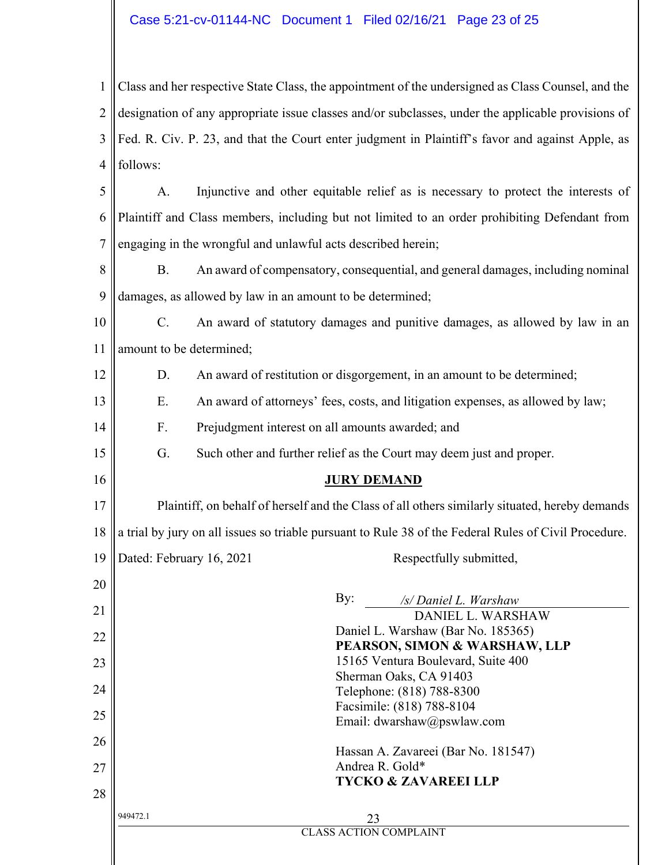#### Case 5:21-cv-01144-NC Document 1 Filed 02/16/21 Page 23 of 25

| $\frac{1}{1}$ Class and her respective State Class, the appointment of the undersigned as Class Counsel, and the |
|------------------------------------------------------------------------------------------------------------------|
| 2 designation of any appropriate issue classes and/or subclasses, under the applicable provisions of             |
| $3$ Fed. R. Civ. P. 23, and that the Court enter judgment in Plaintiff's favor and against Apple, as             |
| $4$ follows:                                                                                                     |
|                                                                                                                  |

5 6 7 A. Injunctive and other equitable relief as is necessary to protect the interests of Plaintiff and Class members, including but not limited to an order prohibiting Defendant from engaging in the wrongful and unlawful acts described herein;

8 9 B. An award of compensatory, consequential, and general damages, including nominal damages, as allowed by law in an amount to be determined;

10 11 C. An award of statutory damages and punitive damages, as allowed by law in an amount to be determined;

12 D. An award of restitution or disgorgement, in an amount to be determined;

13 E. An award of attorneys' fees, costs, and litigation expenses, as allowed by law;

F. Prejudgment interest on all amounts awarded; and

14

16

15 G. Such other and further relief as the Court may deem just and proper.

### **JURY DEMAND**

17 18 19 Plaintiff, on behalf of herself and the Class of all others similarly situated, hereby demands a trial by jury on all issues so triable pursuant to Rule 38 of the Federal Rules of Civil Procedure. Dated: February 16, 2021 Respectfully submitted,

949472.1 23 CLASS ACTION COMPLAINT 20 21 22 23 24 25 26 27 28 By: */s/ Daniel L. Warshaw*  DANIEL L. WARSHAW Daniel L. Warshaw (Bar No. 185365) **PEARSON, SIMON & WARSHAW, LLP**  15165 Ventura Boulevard, Suite 400 Sherman Oaks, CA 91403 Telephone: (818) 788-8300 Facsimile: (818) 788-8104 Email: dwarshaw@pswlaw.com Hassan A. Zavareei (Bar No. 181547) Andrea R. Gold\* **TYCKO & ZAVAREEI LLP**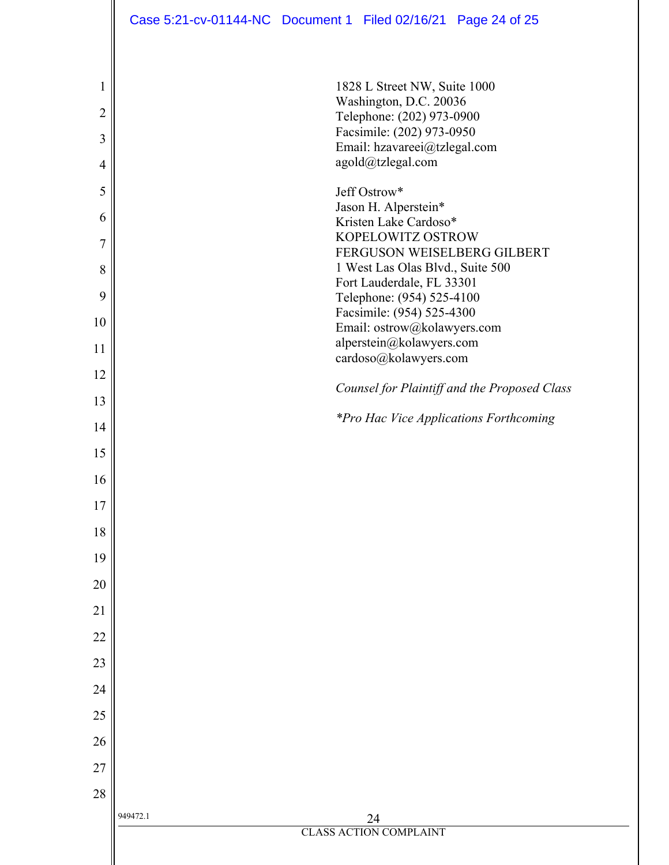| 1              | 1828 L Street NW, Suite 1000                                  |
|----------------|---------------------------------------------------------------|
| $\overline{2}$ | Washington, D.C. 20036<br>Telephone: (202) 973-0900           |
| 3              | Facsimile: (202) 973-0950<br>Email: hzavareei@tzlegal.com     |
| $\overline{4}$ | agold@tzlegal.com                                             |
| 5              | Jeff Ostrow*<br>Jason H. Alperstein*                          |
| 6              | Kristen Lake Cardoso*                                         |
| $\tau$         | KOPELOWITZ OSTROW<br>FERGUSON WEISELBERG GILBERT              |
| 8              | 1 West Las Olas Blvd., Suite 500<br>Fort Lauderdale, FL 33301 |
| 9              | Telephone: (954) 525-4100                                     |
| 10             | Facsimile: (954) 525-4300<br>Email: ostrow@kolawyers.com      |
| 11             | alperstein@kolawyers.com<br>cardoso@kolawyers.com             |
| 12             | Counsel for Plaintiff and the Proposed Class                  |
| 13             |                                                               |
| 14             | <i>*Pro Hac Vice Applications Forthcoming</i>                 |
| 15             |                                                               |
| 16             |                                                               |
| 17             |                                                               |
| 18             |                                                               |
| 19             |                                                               |
| 20             |                                                               |
| 21             |                                                               |
| 22             |                                                               |
| 23             |                                                               |
| 24             |                                                               |
| 25             |                                                               |
| 26             |                                                               |
| 27             |                                                               |
| 28             |                                                               |
|                | 949472.1<br>24<br><b>CLASS ACTION COMPLAINT</b>               |
|                |                                                               |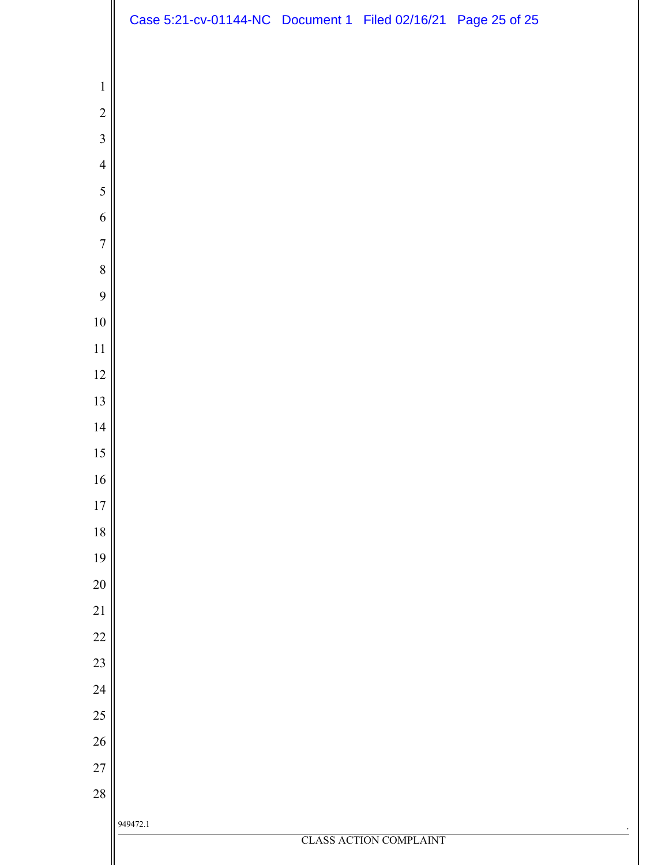|                | Case 5:21-cv-01144-NC Document 1 Filed 02/16/21 Page 25 of 25 |                        |  |
|----------------|---------------------------------------------------------------|------------------------|--|
|                |                                                               |                        |  |
| $\mathbf{1}$   |                                                               |                        |  |
| $\overline{c}$ |                                                               |                        |  |
| $\mathfrak{Z}$ |                                                               |                        |  |
| $\overline{4}$ |                                                               |                        |  |
| 5              |                                                               |                        |  |
| 6              |                                                               |                        |  |
| $\overline{7}$ |                                                               |                        |  |
| $\,$ $\,$      |                                                               |                        |  |
| 9              |                                                               |                        |  |
| $10\,$         |                                                               |                        |  |
| $11\,$         |                                                               |                        |  |
| $12\,$         |                                                               |                        |  |
| 13             |                                                               |                        |  |
| $14$           |                                                               |                        |  |
| $15\,$         |                                                               |                        |  |
| 16             |                                                               |                        |  |
| $17$           |                                                               |                        |  |
| $18\,$<br>19   |                                                               |                        |  |
| $20\,$         |                                                               |                        |  |
| $21\,$         |                                                               |                        |  |
| $22\,$         |                                                               |                        |  |
| 23             |                                                               |                        |  |
| $24\,$         |                                                               |                        |  |
| $25\,$         |                                                               |                        |  |
| $26\,$         |                                                               |                        |  |
| $27\,$         |                                                               |                        |  |
| $28\,$         |                                                               |                        |  |
|                | 949472.1                                                      |                        |  |
|                |                                                               | CLASS ACTION COMPLAINT |  |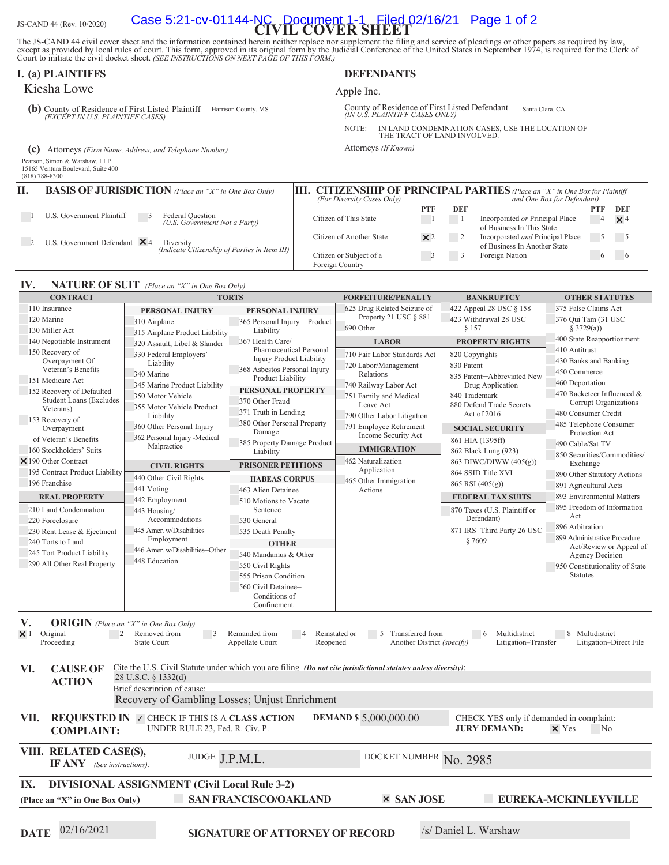# JS-CAND 44 (Rev. 10/2020) **Case 5:21-cv-01144-NC Document 1-1 Filed 02/16/21 Page 1 of 2**

The JS-CAND 44 civil cover sheet and the information contained herein neither replace nor supplement the filing and service of pleadings or other papers as required by law, except as provided by local rules of court. This

| I. (a) PLAINTIFFS                                                                                            | <b>DEFENDANTS</b>                                                               |                                                                                                                 |  |  |  |  |
|--------------------------------------------------------------------------------------------------------------|---------------------------------------------------------------------------------|-----------------------------------------------------------------------------------------------------------------|--|--|--|--|
| Kiesha Lowe                                                                                                  | Apple Inc.                                                                      |                                                                                                                 |  |  |  |  |
| (b) County of Residence of First Listed Plaintiff<br>Harrison County, MS<br>(EXCEPT IN U.S. PLAINTIFF CASES) | County of Residence of First Listed Defendant<br>(IN U.Š. PLAINTIFF CASES ONLY) | Santa Clara, CA                                                                                                 |  |  |  |  |
|                                                                                                              | NOTE:<br>THE TRACT OF LAND INVOLVED.                                            | IN LAND CONDEMNATION CASES, USE THE LOCATION OF                                                                 |  |  |  |  |
| Attorneys (Firm Name, Address, and Telephone Number)<br>(c)                                                  | Attorneys (If Known)                                                            |                                                                                                                 |  |  |  |  |
| Pearson, Simon & Warshaw, LLP<br>15165 Ventura Boulevard, Suite 400<br>$(818)$ 788-8300                      |                                                                                 |                                                                                                                 |  |  |  |  |
| Н.<br><b>BASIS OF JURISDICTION</b> (Place an "X" in One Box Only)<br>Ш.                                      | (For Diversity Cases Only)                                                      | <b>CITIZENSHIP OF PRINCIPAL PARTIES</b> (Place an "X" in One Box for Plaintiff<br>and One Box for Defendant)    |  |  |  |  |
|                                                                                                              | <b>PTF</b><br><b>DEF</b>                                                        | <b>PTF</b><br>DEF                                                                                               |  |  |  |  |
| U.S. Government Plaintiff<br>Federal Question<br>(U.S. Government Not a Party)                               | Citizen of This State                                                           | Incorporated or Principal Place<br>$\times$ 4<br>$\overline{4}$<br>of Business In This State                    |  |  |  |  |
| U.S. Government Defendant $\times$ 4<br>Diversity<br>(Indicate Citizenship of Parties in Item III)           | Citizen of Another State<br>$\times 2$                                          | Incorporated and Principal Place<br>$\frac{5}{2}$<br>$\overline{\phantom{0}}$ 5<br>of Business In Another State |  |  |  |  |
|                                                                                                              | Citizen or Subject of a<br>3<br>Foreign Country                                 | Foreign Nation<br>$\sigma$                                                                                      |  |  |  |  |

#### **IV. NATURE OF SUIT** (Place an "X" in One Box Only)

| <b>CONTRACT</b>                                             | <b>TORTS</b>                                                                                                   |                                                   | <b>FORFEITURE/PENALTY</b>               | <b>BANKRUPTCY</b>                                               | <b>OTHER STATUTES</b>                             |  |  |
|-------------------------------------------------------------|----------------------------------------------------------------------------------------------------------------|---------------------------------------------------|-----------------------------------------|-----------------------------------------------------------------|---------------------------------------------------|--|--|
| 110 Insurance                                               | PERSONAL INJURY                                                                                                | PERSONAL INJURY                                   | 625 Drug Related Seizure of             | 422 Appeal 28 USC § 158                                         | 375 False Claims Act                              |  |  |
| 120 Marine                                                  | 310 Airplane                                                                                                   | 365 Personal Injury - Product                     | Property 21 USC § 881                   | 423 Withdrawal 28 USC                                           | 376 Qui Tam (31 USC                               |  |  |
| 130 Miller Act                                              | 315 Airplane Product Liability                                                                                 | Liability                                         | 690 Other                               | § 157                                                           | § 3729(a))                                        |  |  |
| 140 Negotiable Instrument                                   | 320 Assault, Libel & Slander                                                                                   | 367 Health Care/                                  | <b>LABOR</b>                            | <b>PROPERTY RIGHTS</b>                                          | 400 State Reapportionment                         |  |  |
| 150 Recovery of                                             | 330 Federal Employers'                                                                                         | Pharmaceutical Personal                           | 710 Fair Labor Standards Act            | 820 Copyrights                                                  | 410 Antitrust                                     |  |  |
| Overpayment Of                                              | Liability                                                                                                      | <b>Injury Product Liability</b>                   | 720 Labor/Management                    | 830 Patent                                                      | 430 Banks and Banking                             |  |  |
| Veteran's Benefits                                          | 340 Marine                                                                                                     | 368 Asbestos Personal Injury<br>Product Liability | Relations                               | 835 Patent-Abbreviated New                                      | 450 Commerce                                      |  |  |
| 151 Medicare Act                                            | 345 Marine Product Liability                                                                                   |                                                   | 740 Railway Labor Act                   | Drug Application                                                | 460 Deportation                                   |  |  |
| 152 Recovery of Defaulted<br><b>Student Loans (Excludes</b> | 350 Motor Vehicle                                                                                              | PERSONAL PROPERTY                                 | 751 Family and Medical                  | 840 Trademark                                                   | 470 Racketeer Influenced &                        |  |  |
| Veterans)                                                   | 355 Motor Vehicle Product                                                                                      | 370 Other Fraud                                   | Leave Act                               | 880 Defend Trade Secrets                                        | Corrupt Organizations                             |  |  |
| 153 Recovery of                                             | Liability                                                                                                      | 371 Truth in Lending                              | 790 Other Labor Litigation              | Act of 2016                                                     | 480 Consumer Credit                               |  |  |
| Overpayment                                                 | 360 Other Personal Injury                                                                                      | 380 Other Personal Property<br>Damage             | 791 Employee Retirement                 | <b>SOCIAL SECURITY</b>                                          | 485 Telephone Consumer<br>Protection Act          |  |  |
| of Veteran's Benefits                                       | 362 Personal Injury -Medical                                                                                   | 385 Property Damage Product                       | Income Security Act                     | 861 HIA (1395ff)                                                | 490 Cable/Sat TV                                  |  |  |
| 160 Stockholders' Suits                                     | Malpractice                                                                                                    | Liability                                         | <b>IMMIGRATION</b>                      | 862 Black Lung (923)                                            | 850 Securities/Commodities/                       |  |  |
| $\times$ 190 Other Contract                                 | <b>CIVIL RIGHTS</b>                                                                                            | PRISONER PETITIONS                                | 462 Naturalization                      | 863 DIWC/DIWW (405(g))                                          | Exchange                                          |  |  |
| 195 Contract Product Liability                              |                                                                                                                |                                                   | Application                             | 864 SSID Title XVI                                              | 890 Other Statutory Actions                       |  |  |
| 196 Franchise                                               | 440 Other Civil Rights                                                                                         | <b>HABEAS CORPUS</b>                              | 465 Other Immigration                   | 865 RSI (405(g))                                                | 891 Agricultural Acts                             |  |  |
| <b>REAL PROPERTY</b>                                        | 441 Voting                                                                                                     | 463 Alien Detainee                                | Actions                                 | <b>FEDERAL TAX SUITS</b>                                        | 893 Environmental Matters                         |  |  |
| 210 Land Condemnation                                       | 442 Employment                                                                                                 | 510 Motions to Vacate<br>Sentence                 |                                         |                                                                 | 895 Freedom of Information                        |  |  |
| 220 Foreclosure                                             | 443 Housing/<br>Accommodations                                                                                 | 530 General                                       |                                         | 870 Taxes (U.S. Plaintiff or<br>Defendant)                      | Act                                               |  |  |
| 230 Rent Lease & Ejectment                                  | 445 Amer. w/Disabilities-                                                                                      | 535 Death Penalty                                 |                                         | 871 IRS-Third Party 26 USC                                      | 896 Arbitration                                   |  |  |
| 240 Torts to Land                                           | Employment                                                                                                     |                                                   |                                         | §7609                                                           | 899 Administrative Procedure                      |  |  |
| 245 Tort Product Liability                                  | 446 Amer. w/Disabilities-Other                                                                                 | <b>OTHER</b>                                      |                                         |                                                                 | Act/Review or Appeal of                           |  |  |
| 290 All Other Real Property                                 | 448 Education                                                                                                  | 540 Mandamus & Other                              |                                         |                                                                 | <b>Agency Decision</b>                            |  |  |
|                                                             |                                                                                                                | 550 Civil Rights                                  |                                         |                                                                 | 950 Constitutionality of State<br><b>Statutes</b> |  |  |
|                                                             |                                                                                                                | 555 Prison Condition                              |                                         |                                                                 |                                                   |  |  |
|                                                             |                                                                                                                | 560 Civil Detainee-<br>Conditions of              |                                         |                                                                 |                                                   |  |  |
|                                                             |                                                                                                                | Confinement                                       |                                         |                                                                 |                                                   |  |  |
|                                                             |                                                                                                                |                                                   |                                         |                                                                 |                                                   |  |  |
| V.<br><b>ORIGIN</b> (Place an "X" in One Box Only)          |                                                                                                                |                                                   |                                         |                                                                 |                                                   |  |  |
| Original<br>$\times$ 1<br>2                                 | Removed from<br>$\overline{\phantom{a}}$                                                                       | Remanded from                                     | Reinstated or<br>Transferred from<br>.5 | $6\overline{6}$<br>Multidistrict                                | 8 Multidistrict                                   |  |  |
| Proceeding                                                  | <b>State Court</b>                                                                                             | Appellate Court<br>Reopened                       | Another District (specify)              | Litigation-Transfer                                             | Litigation-Direct File                            |  |  |
|                                                             |                                                                                                                |                                                   |                                         |                                                                 |                                                   |  |  |
| VI.<br><b>CAUSE OF</b>                                      | Cite the U.S. Civil Statute under which you are filing (Do not cite jurisdictional statutes unless diversity): |                                                   |                                         |                                                                 |                                                   |  |  |
| <b>ACTION</b>                                               | 28 U.S.C. § 1332(d)                                                                                            |                                                   |                                         |                                                                 |                                                   |  |  |
|                                                             | Brief description of cause:                                                                                    |                                                   |                                         |                                                                 |                                                   |  |  |
|                                                             | Recovery of Gambling Losses; Unjust Enrichment                                                                 |                                                   |                                         |                                                                 |                                                   |  |  |
| VII.                                                        | <b>REQUESTED IN V CHECK IF THIS IS A CLASS ACTION</b>                                                          |                                                   | <b>DEMAND \$5,000,000.00</b>            |                                                                 |                                                   |  |  |
|                                                             |                                                                                                                |                                                   |                                         | CHECK YES only if demanded in complaint:<br><b>JURY DEMAND:</b> | $\times$ Yes<br>N <sub>o</sub>                    |  |  |
| UNDER RULE 23, Fed. R. Civ. P.<br><b>COMPLAINT:</b>         |                                                                                                                |                                                   |                                         |                                                                 |                                                   |  |  |
| VIII. RELATED CASE(S),                                      |                                                                                                                |                                                   |                                         |                                                                 |                                                   |  |  |
| JUDGE J.P.M.L.<br>DOCKET NUMBER No. 2985                    |                                                                                                                |                                                   |                                         |                                                                 |                                                   |  |  |
| $IF ANY$ (See instructions):                                |                                                                                                                |                                                   |                                         |                                                                 |                                                   |  |  |
| IX.<br><b>DIVISIONAL ASSIGNMENT (Civil Local Rule 3-2)</b>  |                                                                                                                |                                                   |                                         |                                                                 |                                                   |  |  |
|                                                             |                                                                                                                |                                                   |                                         |                                                                 |                                                   |  |  |
| (Place an "X" in One Box Only)                              |                                                                                                                | <b>SAN FRANCISCO/OAKLAND</b>                      | <b>× SAN JOSE</b>                       |                                                                 | EUREKA-MCKINLEYVILLE                              |  |  |
|                                                             |                                                                                                                |                                                   |                                         |                                                                 |                                                   |  |  |
| 02/16/2021<br><b>DATE</b>                                   |                                                                                                                |                                                   |                                         | /s/ Daniel L. Warshaw                                           |                                                   |  |  |
|                                                             |                                                                                                                | <b>SIGNATURE OF ATTORNEY OF RECORD</b>            |                                         |                                                                 |                                                   |  |  |